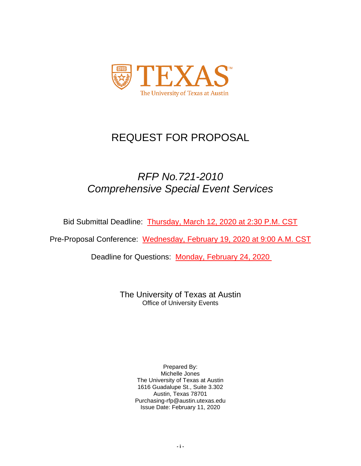

# REQUEST FOR PROPOSAL

# *RFP No.721-2010 Comprehensive Special Event Services*

Bid Submittal Deadline: Thursday, March 12, 2020 at 2:30 P.M. CST

Pre-Proposal Conference: Wednesday, February 19, 2020 at 9:00 A.M. CST

Deadline for Questions: Monday, February 24, 2020

The University of Texas at Austin Office of University Events

> Prepared By: Michelle Jones The University of Texas at Austin 1616 Guadalupe St., Suite 3.302 Austin, Texas 78701 Purchasing-rfp@austin.utexas.edu Issue Date: February 11, 2020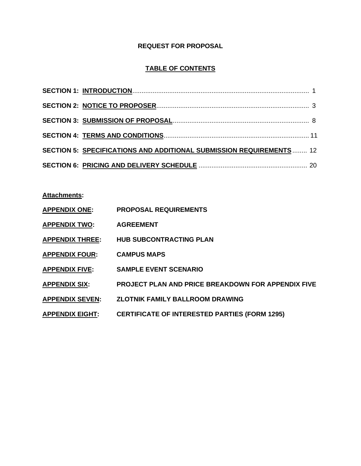# **REQUEST FOR PROPOSAL**

# **TABLE OF CONTENTS**

| SECTION 5: SPECIFICATIONS AND ADDITIONAL SUBMISSION REQUIREMENTS 12 |  |
|---------------------------------------------------------------------|--|
|                                                                     |  |

**Attachments:**

| <b>APPENDIX ONE:</b>   | <b>PROPOSAL REQUIREMENTS</b>                              |
|------------------------|-----------------------------------------------------------|
| <b>APPENDIX TWO:</b>   | <b>AGREEMENT</b>                                          |
| <b>APPENDIX THREE:</b> | <b>HUB SUBCONTRACTING PLAN</b>                            |
| <b>APPENDIX FOUR:</b>  | <b>CAMPUS MAPS</b>                                        |
| <b>APPENDIX FIVE:</b>  | <b>SAMPLE EVENT SCENARIO</b>                              |
| <b>APPENDIX SIX:</b>   | <b>PROJECT PLAN AND PRICE BREAKDOWN FOR APPENDIX FIVE</b> |
| <b>APPENDIX SEVEN:</b> | <b>ZLOTNIK FAMILY BALLROOM DRAWING</b>                    |
| <b>APPENDIX EIGHT:</b> | <b>CERTIFICATE OF INTERESTED PARTIES (FORM 1295)</b>      |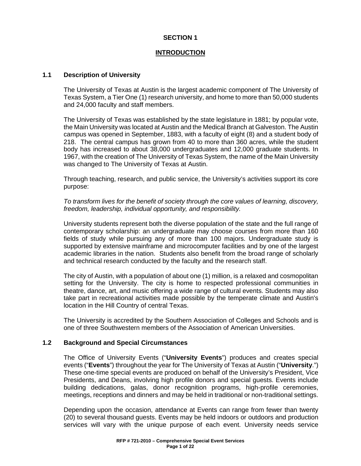### **INTRODUCTION**

### **1.1 Description of University**

The University of Texas at Austin is the largest academic component of The University of Texas System, a Tier One (1) research university, and home to more than 50,000 students and 24,000 faculty and staff members.

The University of Texas was established by the state legislature in 1881; by popular vote, the Main University was located at Austin and the Medical Branch at Galveston. The Austin campus was opened in September, 1883, with a faculty of eight (8) and a student body of 218. The central campus has grown from 40 to more than 360 acres, while the student body has increased to about 38,000 undergraduates and 12,000 graduate students. In 1967, with the creation of The University of Texas System, the name of the Main University was changed to The University of Texas at Austin.

Through teaching, research, and public service, the University's activities support its core purpose:

*To transform lives for the benefit of society through the core values of learning, discovery, freedom, leadership, individual opportunity, and responsibility.*

University students represent both the diverse population of the state and the full range of contemporary scholarship: an undergraduate may choose courses from more than 160 fields of study while pursuing any of more than 100 majors. Undergraduate study is supported by extensive mainframe and microcomputer facilities and by one of the largest academic libraries in the nation. Students also benefit from the broad range of scholarly and technical research conducted by the faculty and the research staff.

The city of Austin, with a population of about one (1) million, is a relaxed and cosmopolitan setting for the University. The city is home to respected professional communities in theatre, dance, art, and music offering a wide range of cultural events. Students may also take part in recreational activities made possible by the temperate climate and Austin's location in the Hill Country of central Texas.

The University is accredited by the Southern Association of Colleges and Schools and is one of three Southwestern members of the Association of American Universities.

### **1.2 Background and Special Circumstances**

The Office of University Events ("**University Events**") produces and creates special events ("**Events**") throughout the year for The University of Texas at Austin ("**University**.") These one-time special events are produced on behalf of the University's President, Vice Presidents, and Deans, involving high profile donors and special guests. Events include building dedications, galas, donor recognition programs, high-profile ceremonies, meetings, receptions and dinners and may be held in traditional or non-traditional settings.

Depending upon the occasion, attendance at Events can range from fewer than twenty (20) to several thousand guests. Events may be held indoors or outdoors and production services will vary with the unique purpose of each event. University needs service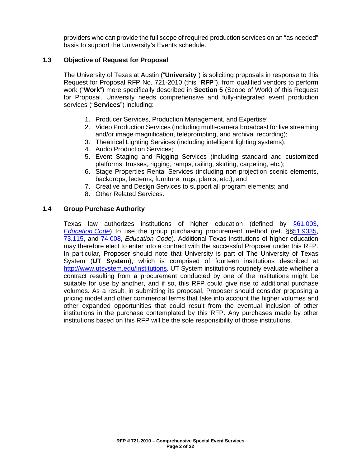providers who can provide the full scope of required production services on an "as needed" basis to support the University's Events schedule.

# **1.3 Objective of Request for Proposal**

The University of Texas at Austin ("**University**") is soliciting proposals in response to this Request for Proposal RFP No. 721-2010 (this "**RFP**"), from qualified vendors to perform work ("**Work**") more specifically described in **Section 5** (Scope of Work) of this Request for Proposal. University needs comprehensive and fully-integrated event production services ("**Services**") including:

- 1. Producer Services, Production Management, and Expertise;
- 2. Video Production Services (including multi-camera broadcast for live streaming and/or image magnification, teleprompting, and archival recording);
- 3. Theatrical Lighting Services (including intelligent lighting systems);
- 4. Audio Production Services;
- 5. Event Staging and Rigging Services (including standard and customized platforms, trusses, rigging, ramps, railing, skirting, carpeting, etc.);
- 6. Stage Properties Rental Services (including non-projection scenic elements, backdrops, lecterns, furniture, rugs, plants, etc.); and
- 7. Creative and Design Services to support all program elements; and
- 8. Other Related Services.

### **1.4 Group Purchase Authority**

Texas law authorizes institutions of higher education (defined by [§61.003,](http://www.statutes.legis.state.tx.us/Docs/ED/htm/ED.61.htm#61.003)  *[Education](http://www.statutes.legis.state.tx.us/Docs/ED/htm/ED.61.htm#61.003) Code*) to use the group purchasing procurement method (ref. §[§51.9335,](http://www.statutes.legis.state.tx.us/Docs/ED/htm/ED.51.htm#51.9335) [73.115,](http://www.statutes.legis.state.tx.us/Docs/ED/htm/ED.73.htm#73.115) and [74.008,](http://www.statutes.legis.state.tx.us/Docs/ED/htm/ED.74.htm#74.008) *Education Code*). Additional Texas institutions of higher education may therefore elect to enter into a contract with the successful Proposer under this RFP. In particular, Proposer should note that University is part of The University of Texas System (**UT System**), which is comprised of fourteen institutions described at [http://www.utsystem.edu/institutions.](http://www.utsystem.edu/institutions) UT System institutions routinely evaluate whether a contract resulting from a procurement conducted by one of the institutions might be suitable for use by another, and if so, this RFP could give rise to additional purchase volumes. As a result, in submitting its proposal, Proposer should consider proposing a pricing model and other commercial terms that take into account the higher volumes and other expanded opportunities that could result from the eventual inclusion of other institutions in the purchase contemplated by this RFP. Any purchases made by other institutions based on this RFP will be the sole responsibility of those institutions.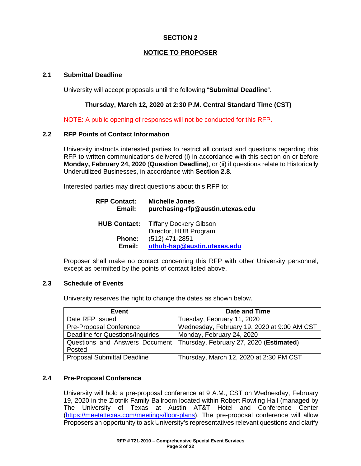# **NOTICE TO PROPOSER**

### **2.1 Submittal Deadline**

University will accept proposals until the following "**Submittal Deadline**".

### **Thursday, March 12, 2020 at 2:30 P.M. Central Standard Time (CST)**

NOTE: A public opening of responses will not be conducted for this RFP.

### **2.2 RFP Points of Contact Information**

University instructs interested parties to restrict all contact and questions regarding this RFP to written communications delivered (i) in accordance with this section on or before **Monday, February 24, 2020** (**Question Deadline**), or (ii) if questions relate to Historically Underutilized Businesses, in accordance with **Section 2.8**.

Interested parties may direct questions about this RFP to:

| <b>RFP Contact:</b><br>Email: | <b>Michelle Jones</b><br>purchasing-rfp@austin.utexas.edu |  |
|-------------------------------|-----------------------------------------------------------|--|
| <b>HUB Contact:</b>           | <b>Tiffany Dockery Gibson</b><br>Director, HUB Program    |  |
| Phone:                        | (512) 471-2851                                            |  |
| Email:                        | uthub-hsp@austin.utexas.edu                               |  |

Proposer shall make no contact concerning this RFP with other University personnel, except as permitted by the points of contact listed above.

### **2.3 Schedule of Events**

University reserves the right to change the dates as shown below.

| <b>Event</b>                       | Date and Time                                                            |  |  |
|------------------------------------|--------------------------------------------------------------------------|--|--|
| Date RFP Issued                    | Tuesday, February 11, 2020                                               |  |  |
| <b>Pre-Proposal Conference</b>     | Wednesday, February 19, 2020 at 9:00 AM CST                              |  |  |
| Deadline for Questions/Inquiries   | Monday, February 24, 2020                                                |  |  |
|                                    | Questions and Answers Document   Thursday, February 27, 2020 (Estimated) |  |  |
| Posted                             |                                                                          |  |  |
| <b>Proposal Submittal Deadline</b> | Thursday, March 12, 2020 at 2:30 PM CST                                  |  |  |

### **2.4 Pre-Proposal Conference**

University will hold a pre-proposal conference at 9 A.M., CST on Wednesday, February 19, 2020 in the Zlotnik Family Ballroom located within Robert Rowling Hall (managed by The University of Texas at Austin AT&T Hotel and Conference Center [\(https://meetattexas.com/meetings/floor-plans\)](https://meetattexas.com/meetings/floor-plans). The pre-proposal conference will allow Proposers an opportunity to ask University's representatives relevant questions and clarify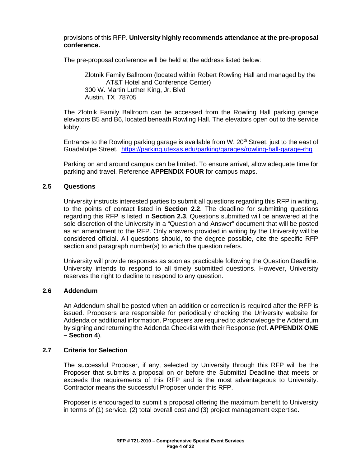### provisions of this RFP. **University highly recommends attendance at the pre-proposal conference.**

The pre-proposal conference will be held at the address listed below:

Zlotnik Family Ballroom (located within Robert Rowling Hall and managed by the AT&T Hotel and Conference Center) 300 W. Martin Luther King, Jr. Blvd Austin, TX 78705

The Zlotnik Family Ballroom can be accessed from the Rowling Hall parking garage elevators B5 and B6, located beneath Rowling Hall. The elevators open out to the service lobby.

Entrance to the Rowling parking garage is available from W. 20<sup>th</sup> Street, just to the east of Guadalulpe Street. <https://parking.utexas.edu/parking/garages/rowling-hall-garage-rhg>

Parking on and around campus can be limited. To ensure arrival, allow adequate time for parking and travel. Reference **APPENDIX FOUR** for campus maps.

### **2.5 Questions**

University instructs interested parties to submit all questions regarding this RFP in writing, to the points of contact listed in **Section 2.2**. The deadline for submitting questions regarding this RFP is listed in **Section 2.3**. Questions submitted will be answered at the sole discretion of the University in a "Question and Answer" document that will be posted as an amendment to the RFP. Only answers provided in writing by the University will be considered official. All questions should, to the degree possible, cite the specific RFP section and paragraph number(s) to which the question refers.

University will provide responses as soon as practicable following the Question Deadline. University intends to respond to all timely submitted questions. However, University reserves the right to decline to respond to any question.

### **2.6 Addendum**

An Addendum shall be posted when an addition or correction is required after the RFP is issued. Proposers are responsible for periodically checking the University website for Addenda or additional information. Proposers are required to acknowledge the Addendum by signing and returning the Addenda Checklist with their Response (ref. **APPENDIX ONE – Section 4**).

### **2.7 Criteria for Selection**

The successful Proposer, if any, selected by University through this RFP will be the Proposer that submits a proposal on or before the Submittal Deadline that meets or exceeds the requirements of this RFP and is the most advantageous to University. Contractor means the successful Proposer under this RFP.

Proposer is encouraged to submit a proposal offering the maximum benefit to University in terms of (1) service, (2) total overall cost and (3) project management expertise.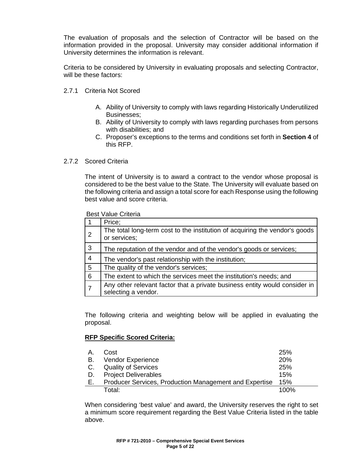The evaluation of proposals and the selection of Contractor will be based on the information provided in the proposal. University may consider additional information if University determines the information is relevant.

Criteria to be considered by University in evaluating proposals and selecting Contractor, will be these factors:

- 2.7.1 Criteria Not Scored
	- A. Ability of University to comply with laws regarding Historically Underutilized Businesses;
	- B. Ability of University to comply with laws regarding purchases from persons with disabilities; and
	- C. Proposer's exceptions to the terms and conditions set forth in **Section 4** of this RFP.

### 2.7.2 Scored Criteria

The intent of University is to award a contract to the vendor whose proposal is considered to be the best value to the State. The University will evaluate based on the following criteria and assign a total score for each Response using the following best value and score criteria.

Best Value Criteria

|                 | Price;                                                                                            |
|-----------------|---------------------------------------------------------------------------------------------------|
| $\overline{2}$  | The total long-term cost to the institution of acquiring the vendor's goods<br>or services;       |
| $\mathbf{3}$    | The reputation of the vendor and of the vendor's goods or services;                               |
| $\overline{4}$  | The vendor's past relationship with the institution;                                              |
| $5\phantom{.0}$ | The quality of the vendor's services;                                                             |
| 6               | The extent to which the services meet the institution's needs; and                                |
|                 | Any other relevant factor that a private business entity would consider in<br>selecting a vendor. |

The following criteria and weighting below will be applied in evaluating the proposal.

### **RFP Specific Scored Criteria:**

| А. | Cost                                                   | <b>25%</b> |
|----|--------------------------------------------------------|------------|
| В. | Vendor Experience                                      | <b>20%</b> |
|    | C. Quality of Services                                 | 25%        |
| D. | <b>Project Deliverables</b>                            | 15%        |
| E. | Producer Services, Production Management and Expertise | 15%        |
|    | Total:                                                 | $100\%$    |

When considering 'best value' and award, the University reserves the right to set a minimum score requirement regarding the Best Value Criteria listed in the table above.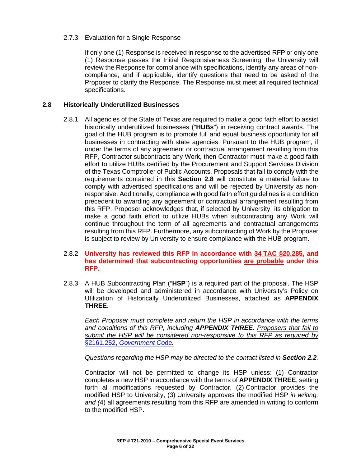### 2.7.3 Evaluation for a Single Response

If only one (1) Response is received in response to the advertised RFP or only one (1) Response passes the Initial Responsiveness Screening, the University will review the Response for compliance with specifications, identify any areas of noncompliance, and if applicable, identify questions that need to be asked of the Proposer to clarify the Response. The Response must meet all required technical specifications.

### **2.8 Historically Underutilized Businesses**

2.8.1 All agencies of the State of Texas are required to make a good faith effort to assist historically underutilized businesses ("**HUBs**") in receiving contract awards. The goal of the HUB program is to promote full and equal business opportunity for all businesses in contracting with state agencies. Pursuant to the HUB program, if under the terms of any agreement or contractual arrangement resulting from this RFP, Contractor subcontracts any Work, then Contractor must make a good faith effort to utilize HUBs certified by the Procurement and Support Services Division of the Texas Comptroller of Public Accounts. Proposals that fail to comply with the requirements contained in this **Section 2.8** will constitute a material failure to comply with advertised specifications and will be rejected by University as nonresponsive. Additionally, compliance with good faith effort guidelines is a condition precedent to awarding any agreement or contractual arrangement resulting from this RFP. Proposer acknowledges that, if selected by University, its obligation to make a good faith effort to utilize HUBs when subcontracting any Work will continue throughout the term of all agreements and contractual arrangements resulting from this RFP. Furthermore, any subcontracting of Work by the Proposer is subject to review by University to ensure compliance with the HUB program.

### 2.8.2 **University has reviewed this RFP in accordance with 34 [TAC §20.285,](http://texreg.sos.state.tx.us/public/readtac$ext.TacPage?sl=R&app=9&p_dir=&p_rloc=&p_tloc=&p_ploc=&pg=1&p_tac=&ti=34&pt=1&ch=20&rl=285) and has determined that subcontracting opportunities are probable under this RFP.**

2.8.3 A HUB Subcontracting Plan ("**HSP**") is a required part of the proposal. The HSP will be developed and administered in accordance with University's Policy on Utilization of Historically Underutilized Businesses, attached as **APPENDIX THREE**.

*Each Proposer must complete and return the HSP in accordance with the terms and conditions of this RFP, including APPENDIX THREE. Proposers that fail to submit the HSP will be considered non-responsive to this RFP as required by*  §2161.252, *[Government Co](http://www.statutes.legis.state.tx.us/Docs/GV/htm/GV.2161.htm#2161.252)*de*.*

*Questions regarding the HSP may be directed to the contact listed in Section 2.2.*

Contractor will not be permitted to change its HSP unless: (1) Contractor completes a new HSP in accordance with the terms of **APPENDIX THREE**, setting forth all modifications requested by Contractor, (2) Contractor provides the modified HSP to University, (3) University approves the modified HSP *in writing, and (*4) all agreements resulting from this RFP are amended in writing to conform to the modified HSP.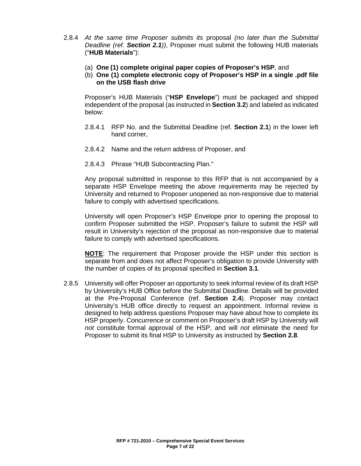- 2.8.4 *At the same time Proposer submits its* proposal *(no later than the Submittal Deadline (ref. Section 2.1))*, Proposer must submit the following HUB materials ("**HUB Materials**"):
	- (a) **One (1) complete original paper copies of Proposer's HSP**, and
	- (b) **One (1) complete electronic copy of Proposer's HSP in a single .pdf file on the USB flash drive**

Proposer's HUB Materials ("**HSP Envelope**") must be packaged and shipped independent of the proposal (as instructed in **Section 3.2**) and labeled as indicated below:

- 2.8.4.1 RFP No. and the Submittal Deadline (ref. **Section 2.1**) in the lower left hand corner,
- 2.8.4.2 Name and the return address of Proposer, and
- 2.8.4.3 Phrase "HUB Subcontracting Plan."

Any proposal submitted in response to this RFP that is not accompanied by a separate HSP Envelope meeting the above requirements may be rejected by University and returned to Proposer unopened as non-responsive due to material failure to comply with advertised specifications.

University will open Proposer's HSP Envelope prior to opening the proposal to confirm Proposer submitted the HSP. Proposer's failure to submit the HSP will result in University's rejection of the proposal as non-responsive due to material failure to comply with advertised specifications.

**NOTE**: The requirement that Proposer provide the HSP under this section is separate from and does not affect Proposer's obligation to provide University with the number of copies of its proposal specified in **Section 3.1**.

2.8.5 University will offer Proposer an opportunity to seek informal review of its draft HSP by University's HUB Office before the Submittal Deadline. Details will be provided at the Pre-Proposal Conference (ref. **Section 2.4**). Proposer may contact University's HUB office directly to request an appointment. Informal review is designed to help address questions Proposer may have about how to complete its HSP properly. Concurrence or comment on Proposer's draft HSP by University will *not* constitute formal approval of the HSP, and will *not* eliminate the need for Proposer to submit its final HSP to University as instructed by **Section 2.8**.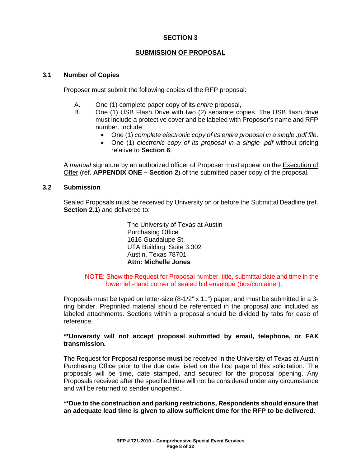### **SUBMISSION OF PROPOSAL**

### **3.1 Number of Copies**

Proposer must submit the following copies of the RFP proposal:

- A. One (1) complete paper copy of its *entire* proposal,
- B. One (1) USB Flash Drive with two (2) separate copies. The USB flash drive must include a protective cover and be labeled with Proposer's name and RFP number. Include:
	- One (1) *complete electronic copy of its entire proposal in a single .pdf file*.
	- One (1) *electronic copy of its proposal in a single .pdf* without pricing relative to **Section 6**.

A *manual* signature by an authorized officer of Proposer must appear on the Execution of Offer (ref. **APPENDIX ONE – Section 2**) of the submitted paper copy of the proposal.

### **3.2 Submission**

Sealed Proposals must be received by University on or before the Submittal Deadline (ref. **Section 2.1**) and delivered to:

> The University of Texas at Austin Purchasing Office 1616 Guadalupe St. UTA Building, Suite 3.302 Austin, Texas 78701 **Attn: Michelle Jones**

### NOTE: Show the Request for Proposal number, title, submittal date and time in the lower left-hand corner of sealed bid envelope (box/container).

Proposals must be typed on letter-size (8-1/2" x 11") paper, and must be submitted in a 3 ring binder. Preprinted material should be referenced in the proposal and included as labeled attachments. Sections within a proposal should be divided by tabs for ease of reference.

### **\*\*University will not accept proposal submitted by email, telephone, or FAX transmission.**

The Request for Proposal response **must** be received in the University of Texas at Austin Purchasing Office prior to the due date listed on the first page of this solicitation. The proposals will be time, date stamped, and secured for the proposal opening. Any Proposals received after the specified time will not be considered under any circumstance and will be returned to sender unopened.

**\*\*Due to the construction and parking restrictions, Respondents should ensure that an adequate lead time is given to allow sufficient time for the RFP to be delivered.**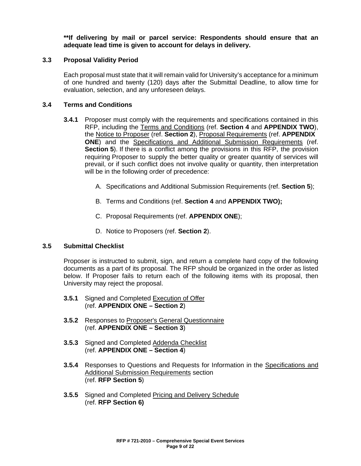**\*\*If delivering by mail or parcel service: Respondents should ensure that an adequate lead time is given to account for delays in delivery.**

### **3.3 Proposal Validity Period**

Each proposal must state that it will remain valid for University's acceptance for a minimum of one hundred and twenty (120) days after the Submittal Deadline, to allow time for evaluation, selection, and any unforeseen delays.

### **3.4 Terms and Conditions**

- **3.4.1** Proposer must comply with the requirements and specifications contained in this RFP, including the Terms and Conditions (ref. **Section 4** and **APPENDIX TWO**), the Notice to Proposer (ref. **Section 2**), Proposal Requirements (ref. **APPENDIX ONE**) and the Specifications and Additional Submission Requirements (ref. **Section 5**). If there is a conflict among the provisions in this RFP, the provision requiring Proposer to supply the better quality or greater quantity of services will prevail, or if such conflict does not involve quality or quantity, then interpretation will be in the following order of precedence:
	- A. Specifications and Additional Submission Requirements (ref. **Section 5**);
	- B. Terms and Conditions (ref. **Section 4** and **APPENDIX TWO);**
	- C. Proposal Requirements (ref. **APPENDIX ONE**);
	- D. Notice to Proposers (ref. **Section 2**).

### **3.5 Submittal Checklist**

Proposer is instructed to submit, sign, and return a complete hard copy of the following documents as a part of its proposal. The RFP should be organized in the order as listed below. If Proposer fails to return each of the following items with its proposal, then University may reject the proposal.

- **3.5.1** Signed and Completed Execution of Offer (ref. **APPENDIX ONE – Section 2**)
- **3.5.2** Responses to Proposer's General Questionnaire (ref. **APPENDIX ONE – Section 3**)
- **3.5.3** Signed and Completed Addenda Checklist (ref. **APPENDIX ONE – Section 4**)
- **3.5.4** Responses to Questions and Requests for Information in the Specifications and Additional Submission Requirements section (ref. **RFP Section 5**)
- **3.5.5** Signed and Completed Pricing and Delivery Schedule (ref. **RFP Section 6)**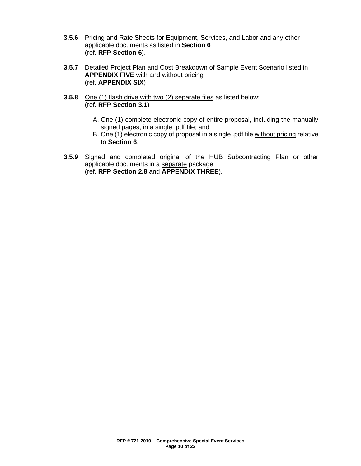- **3.5.6** Pricing and Rate Sheets for Equipment, Services, and Labor and any other applicable documents as listed in **Section 6** (ref. **RFP Section 6**).
- **3.5.7** Detailed Project Plan and Cost Breakdown of Sample Event Scenario listed in **APPENDIX FIVE** with and without pricing (ref. **APPENDIX SIX**)
- **3.5.8** One (1) flash drive with two (2) separate files as listed below: (ref. **RFP Section 3.1**)
	- A. One (1) complete electronic copy of entire proposal, including the manually signed pages, in a single .pdf file; and
	- B. One (1) electronic copy of proposal in a single .pdf file without pricing relative to **Section 6**.
- **3.5.9** Signed and completed original of the HUB Subcontracting Plan or other applicable documents in a separate package (ref. **RFP Section 2.8** and **APPENDIX THREE**).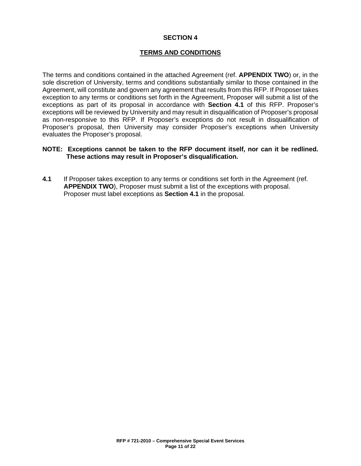### **TERMS AND CONDITIONS**

The terms and conditions contained in the attached Agreement (ref. **APPENDIX TWO**) or, in the sole discretion of University, terms and conditions substantially similar to those contained in the Agreement, will constitute and govern any agreement that results from this RFP. If Proposer takes exception to any terms or conditions set forth in the Agreement, Proposer will submit a list of the exceptions as part of its proposal in accordance with **Section 4.1** of this RFP. Proposer's exceptions will be reviewed by University and may result in disqualification of Proposer's proposal as non-responsive to this RFP. If Proposer's exceptions do not result in disqualification of Proposer's proposal, then University may consider Proposer's exceptions when University evaluates the Proposer's proposal.

### **NOTE: Exceptions cannot be taken to the RFP document itself, nor can it be redlined. These actions may result in Proposer's disqualification.**

**4.1** If Proposer takes exception to any terms or conditions set forth in the Agreement (ref. **APPENDIX TWO**), Proposer must submit a list of the exceptions with proposal. Proposer must label exceptions as **Section 4.1** in the proposal.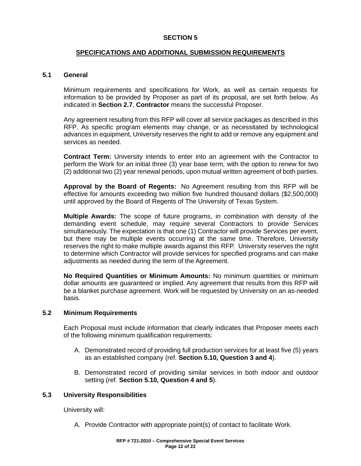### **SPECIFICATIONS AND ADDITIONAL SUBMISSION REQUIREMENTS**

### **5.1 General**

Minimum requirements and specifications for Work, as well as certain requests for information to be provided by Proposer as part of its proposal, are set forth below. As indicated in **Section 2.7**, **Contractor** means the successful Proposer.

Any agreement resulting from this RFP will cover all service packages as described in this RFP. As specific program elements may change, or as necessitated by technological advances in equipment, University reserves the right to add or remove any equipment and services as needed.

**Contract Term:** University intends to enter into an agreement with the Contractor to perform the Work for an initial three (3) year base term, with the option to renew for two (2) additional two (2) year renewal periods, upon mutual written agreement of both parties.

**Approval by the Board of Regents:** No Agreement resulting from this RFP will be effective for amounts exceeding two million five hundred thousand dollars (\$2,500,000) until approved by the Board of Regents of The University of Texas System.

**Multiple Awards:** The scope of future programs, in combination with density of the demanding event schedule, may require several Contractors to provide Services simultaneously. The expectation is that one (1) Contractor will provide Services per event, but there may be multiple events occurring at the same time. Therefore, University reserves the right to make multiple awards against this RFP. University reserves the right to determine which Contractor will provide services for specified programs and can make adjustments as needed during the term of the Agreement.

**No Required Quantities or Minimum Amounts:** No minimum quantities or minimum dollar amounts are guaranteed or implied. Any agreement that results from this RFP will be a blanket purchase agreement. Work will be requested by University on an as-needed basis.

### **5.2 Minimum Requirements**

Each Proposal must include information that clearly indicates that Proposer meets each of the following minimum qualification requirements:

- A. Demonstrated record of providing full production services for at least five (5) years as an established company (ref. **Section 5.10, Question 3 and 4**).
- B. Demonstrated record of providing similar services in both indoor and outdoor setting (ref. **Section 5.10, Question 4 and 5**).

### **5.3 University Responsibilities**

University will:

A. Provide Contractor with appropriate point(s) of contact to facilitate Work.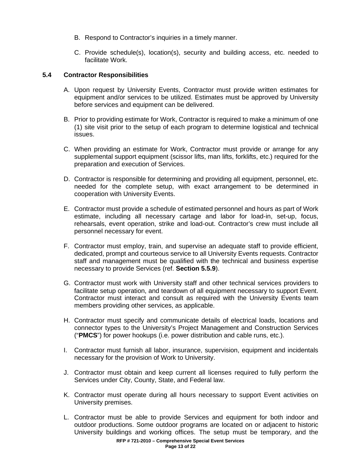- B. Respond to Contractor's inquiries in a timely manner.
- C. Provide schedule(s), location(s), security and building access, etc. needed to facilitate Work.

### **5.4 Contractor Responsibilities**

- A. Upon request by University Events, Contractor must provide written estimates for equipment and/or services to be utilized. Estimates must be approved by University before services and equipment can be delivered.
- B. Prior to providing estimate for Work, Contractor is required to make a minimum of one (1) site visit prior to the setup of each program to determine logistical and technical issues.
- C. When providing an estimate for Work, Contractor must provide or arrange for any supplemental support equipment (scissor lifts, man lifts, forklifts, etc.) required for the preparation and execution of Services.
- D. Contractor is responsible for determining and providing all equipment, personnel, etc. needed for the complete setup, with exact arrangement to be determined in cooperation with University Events.
- E. Contractor must provide a schedule of estimated personnel and hours as part of Work estimate, including all necessary cartage and labor for load-in, set-up, focus, rehearsals, event operation, strike and load-out. Contractor's crew must include all personnel necessary for event.
- F. Contractor must employ, train, and supervise an adequate staff to provide efficient, dedicated, prompt and courteous service to all University Events requests. Contractor staff and management must be qualified with the technical and business expertise necessary to provide Services (ref. **Section 5.5.9**).
- G. Contractor must work with University staff and other technical services providers to facilitate setup operation, and teardown of all equipment necessary to support Event. Contractor must interact and consult as required with the University Events team members providing other services, as applicable.
- H. Contractor must specify and communicate details of electrical loads, locations and connector types to the University's Project Management and Construction Services ("**PMCS**") for power hookups (i.e. power distribution and cable runs, etc.).
- I. Contractor must furnish all labor, insurance, supervision, equipment and incidentals necessary for the provision of Work to University.
- J. Contractor must obtain and keep current all licenses required to fully perform the Services under City, County, State, and Federal law.
- K. Contractor must operate during all hours necessary to support Event activities on University premises.
- L. Contractor must be able to provide Services and equipment for both indoor and outdoor productions. Some outdoor programs are located on or adjacent to historic University buildings and working offices. The setup must be temporary, and the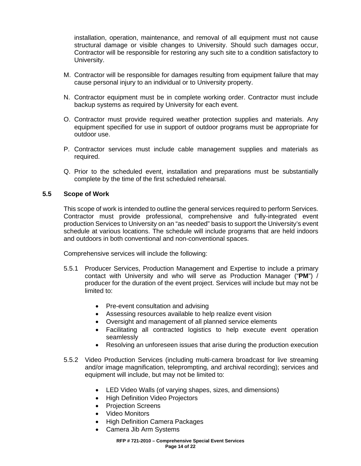installation, operation, maintenance, and removal of all equipment must not cause structural damage or visible changes to University. Should such damages occur, Contractor will be responsible for restoring any such site to a condition satisfactory to University.

- M. Contractor will be responsible for damages resulting from equipment failure that may cause personal injury to an individual or to University property.
- N. Contractor equipment must be in complete working order. Contractor must include backup systems as required by University for each event.
- O. Contractor must provide required weather protection supplies and materials. Any equipment specified for use in support of outdoor programs must be appropriate for outdoor use.
- P. Contractor services must include cable management supplies and materials as required.
- Q. Prior to the scheduled event, installation and preparations must be substantially complete by the time of the first scheduled rehearsal.

### **5.5 Scope of Work**

This scope of work is intended to outline the general services required to perform Services. Contractor must provide professional, comprehensive and fully-integrated event production Services to University on an "as needed" basis to support the University's event schedule at various locations. The schedule will include programs that are held indoors and outdoors in both conventional and non-conventional spaces.

Comprehensive services will include the following:

- 5.5.1 Producer Services, Production Management and Expertise to include a primary contact with University and who will serve as Production Manager ("**PM**") / producer for the duration of the event project. Services will include but may not be limited to:
	- Pre-event consultation and advising
	- Assessing resources available to help realize event vision
	- Oversight and management of all planned service elements
	- Facilitating all contracted logistics to help execute event operation seamlessly
	- Resolving an unforeseen issues that arise during the production execution
- 5.5.2 Video Production Services (including multi-camera broadcast for live streaming and/or image magnification, teleprompting, and archival recording); services and equipment will include, but may not be limited to:
	- LED Video Walls (of varying shapes, sizes, and dimensions)
	- **High Definition Video Projectors**
	- Projection Screens
	- Video Monitors
	- High Definition Camera Packages
	- Camera Jib Arm Systems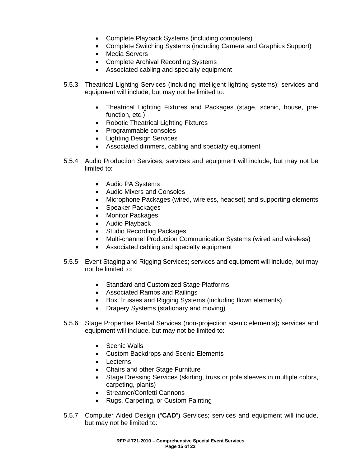- Complete Playback Systems (including computers)
- Complete Switching Systems (including Camera and Graphics Support)
- Media Servers
- Complete Archival Recording Systems
- Associated cabling and specialty equipment
- 5.5.3 Theatrical Lighting Services (including intelligent lighting systems); services and equipment will include, but may not be limited to:
	- Theatrical Lighting Fixtures and Packages (stage, scenic, house, prefunction, etc.)
	- Robotic Theatrical Lighting Fixtures
	- Programmable consoles
	- Lighting Design Services
	- Associated dimmers, cabling and specialty equipment
- 5.5.4 Audio Production Services; services and equipment will include, but may not be limited to:
	- Audio PA Systems
	- Audio Mixers and Consoles
	- Microphone Packages (wired, wireless, headset) and supporting elements
	- Speaker Packages
	- Monitor Packages
	- Audio Playback
	- Studio Recording Packages
	- Multi-channel Production Communication Systems (wired and wireless)
	- Associated cabling and specialty equipment
- 5.5.5 Event Staging and Rigging Services; services and equipment will include, but may not be limited to:
	- Standard and Customized Stage Platforms
	- Associated Ramps and Railings
	- Box Trusses and Rigging Systems (including flown elements)
	- Drapery Systems (stationary and moving)
- 5.5.6 Stage Properties Rental Services (non-projection scenic elements)**;** services and equipment will include, but may not be limited to:
	- Scenic Walls
	- Custom Backdrops and Scenic Elements
	- Lecterns
	- Chairs and other Stage Furniture
	- Stage Dressing Services (skirting, truss or pole sleeves in multiple colors, carpeting, plants)
	- Streamer/Confetti Cannons
	- Rugs, Carpeting, or Custom Painting
- 5.5.7 Computer Aided Design ("**CAD**") Services; services and equipment will include, but may not be limited to: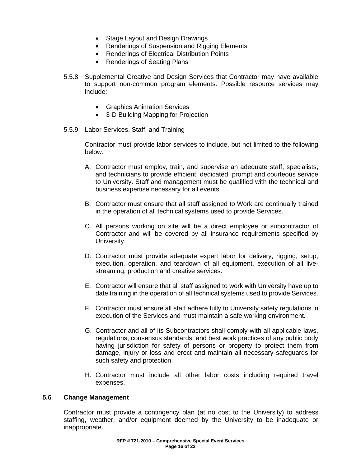- Stage Layout and Design Drawings
- Renderings of Suspension and Rigging Elements
- Renderings of Electrical Distribution Points
- Renderings of Seating Plans
- 5.5.8 Supplemental Creative and Design Services that Contractor may have available to support non-common program elements. Possible resource services may include:
	- Graphics Animation Services
	- 3-D Building Mapping for Projection
- 5.5.9 Labor Services, Staff, and Training

Contractor must provide labor services to include, but not limited to the following below.

- A. Contractor must employ, train, and supervise an adequate staff, specialists, and technicians to provide efficient, dedicated, prompt and courteous service to University. Staff and management must be qualified with the technical and business expertise necessary for all events.
- B. Contractor must ensure that all staff assigned to Work are continually trained in the operation of all technical systems used to provide Services.
- C. All persons working on site will be a direct employee or subcontractor of Contractor and will be covered by all insurance requirements specified by University.
- D. Contractor must provide adequate expert labor for delivery, rigging, setup, execution, operation, and teardown of all equipment, execution of all livestreaming, production and creative services.
- E. Contractor will ensure that all staff assigned to work with University have up to date training in the operation of all technical systems used to provide Services.
- F. Contractor must ensure all staff adhere fully to University safety regulations in execution of the Services and must maintain a safe working environment.
- G. Contractor and all of its Subcontractors shall comply with all applicable laws, regulations, consensus standards, and best work practices of any public body having jurisdiction for safety of persons or property to protect them from damage, injury or loss and erect and maintain all necessary safeguards for such safety and protection.
- H. Contractor must include all other labor costs including required travel expenses.

### **5.6 Change Management**

Contractor must provide a contingency plan (at no cost to the University) to address staffing, weather, and/or equipment deemed by the University to be inadequate or inappropriate.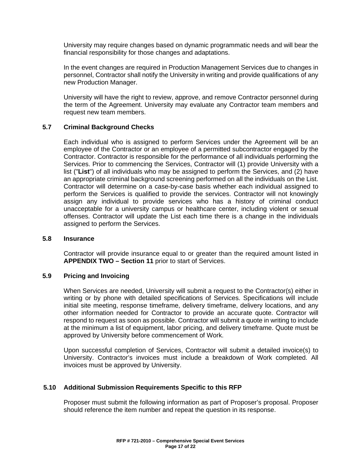University may require changes based on dynamic programmatic needs and will bear the financial responsibility for those changes and adaptations.

In the event changes are required in Production Management Services due to changes in personnel, Contractor shall notify the University in writing and provide qualifications of any new Production Manager.

University will have the right to review, approve, and remove Contractor personnel during the term of the Agreement. University may evaluate any Contractor team members and request new team members.

### **5.7 Criminal Background Checks**

Each individual who is assigned to perform Services under the Agreement will be an employee of the Contractor or an employee of a permitted subcontractor engaged by the Contractor. Contractor is responsible for the performance of all individuals performing the Services. Prior to commencing the Services, Contractor will (1) provide University with a list ("**List**") of all individuals who may be assigned to perform the Services, and (2) have an appropriate criminal background screening performed on all the individuals on the List. Contractor will determine on a case-by-case basis whether each individual assigned to perform the Services is qualified to provide the services. Contractor will not knowingly assign any individual to provide services who has a history of criminal conduct unacceptable for a university campus or healthcare center, including violent or sexual offenses. Contractor will update the List each time there is a change in the individuals assigned to perform the Services.

### **5.8 Insurance**

Contractor will provide insurance equal to or greater than the required amount listed in **APPENDIX TWO – Section 11** prior to start of Services.

### **5.9 Pricing and Invoicing**

When Services are needed, University will submit a request to the Contractor(s) either in writing or by phone with detailed specifications of Services. Specifications will include initial site meeting, response timeframe, delivery timeframe, delivery locations, and any other information needed for Contractor to provide an accurate quote. Contractor will respond to request as soon as possible. Contractor will submit a quote in writing to include at the minimum a list of equipment, labor pricing, and delivery timeframe. Quote must be approved by University before commencement of Work.

Upon successful completion of Services, Contractor will submit a detailed invoice(s) to University. Contractor's invoices must include a breakdown of Work completed. All invoices must be approved by University.

### **5.10 Additional Submission Requirements Specific to this RFP**

Proposer must submit the following information as part of Proposer's proposal. Proposer should reference the item number and repeat the question in its response.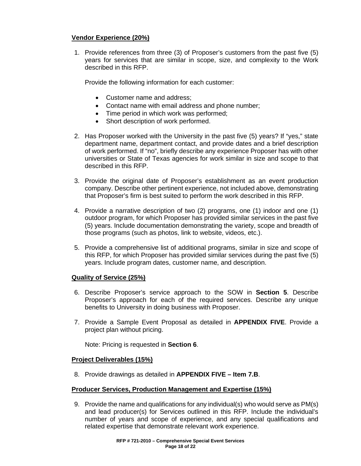### **Vendor Experience (20%)**

1. Provide references from three (3) of Proposer's customers from the past five (5) years for services that are similar in scope, size, and complexity to the Work described in this RFP.

Provide the following information for each customer:

- Customer name and address;
- Contact name with email address and phone number;
- Time period in which work was performed;
- Short description of work performed.
- 2. Has Proposer worked with the University in the past five (5) years? If "yes," state department name, department contact, and provide dates and a brief description of work performed. If "no", briefly describe any experience Proposer has with other universities or State of Texas agencies for work similar in size and scope to that described in this RFP.
- 3. Provide the original date of Proposer's establishment as an event production company. Describe other pertinent experience, not included above, demonstrating that Proposer's firm is best suited to perform the work described in this RFP.
- 4. Provide a narrative description of two (2) programs, one (1) indoor and one (1) outdoor program, for which Proposer has provided similar services in the past five (5) years. Include documentation demonstrating the variety, scope and breadth of those programs (such as photos, link to website, videos, etc.).
- 5. Provide a comprehensive list of additional programs, similar in size and scope of this RFP, for which Proposer has provided similar services during the past five (5) years. Include program dates, customer name, and description.

### **Quality of Service (25%)**

- 6. Describe Proposer's service approach to the SOW in **Section 5**. Describe Proposer's approach for each of the required services. Describe any unique benefits to University in doing business with Proposer.
- 7. Provide a Sample Event Proposal as detailed in **APPENDIX FIVE**. Provide a project plan without pricing.

Note: Pricing is requested in **Section 6**.

### **Project Deliverables (15%)**

8. Provide drawings as detailed in **APPENDIX FIVE – Item 7.B**.

### **Producer Services, Production Management and Expertise (15%)**

9. Provide the name and qualifications for any individual(s) who would serve as PM(s) and lead producer(s) for Services outlined in this RFP. Include the individual's number of years and scope of experience, and any special qualifications and related expertise that demonstrate relevant work experience.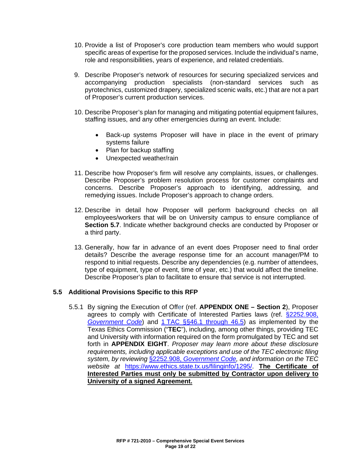- 10. Provide a list of Proposer's core production team members who would support specific areas of expertise for the proposed services. Include the individual's name, role and responsibilities, years of experience, and related credentials.
- 9. Describe Proposer's network of resources for securing specialized services and accompanying production specialists (non-standard services such as pyrotechnics, customized drapery, specialized scenic walls, etc.) that are not a part of Proposer's current production services.
- 10. Describe Proposer's plan for managing and mitigating potential equipment failures, staffing issues, and any other emergencies during an event. Include:
	- Back-up systems Proposer will have in place in the event of primary systems failure
	- Plan for backup staffing
	- Unexpected weather/rain
- 11. Describe how Proposer's firm will resolve any complaints, issues, or challenges. Describe Proposer's problem resolution process for customer complaints and concerns. Describe Proposer's approach to identifying, addressing, and remedying issues. Include Proposer's approach to change orders.
- 12. Describe in detail how Proposer will perform background checks on all employees/workers that will be on University campus to ensure compliance of **Section 5.7**. Indicate whether background checks are conducted by Proposer or a third party.
- 13. Generally, how far in advance of an event does Proposer need to final order details? Describe the average response time for an account manager/PM to respond to initial requests. Describe any dependencies (e.g. number of attendees, type of equipment, type of event, time of year, etc.) that would affect the timeline. Describe Proposer's plan to facilitate to ensure that service is not interrupted.

### **5.5 Additional Provisions Specific to this RFP**

5.5.1 By signing the Execution of Offer (ref. **APPENDIX ONE – Section 2**), Proposer agrees to comply with Certificate of Interested Parties laws (ref. [§2252.908,](http://www.statutes.legis.state.tx.us/Docs/GV/htm/GV.2252.htm#2252.908)  *[Government Code](http://www.statutes.legis.state.tx.us/Docs/GV/htm/GV.2252.htm#2252.908)*) and 1 [TAC §§46.1 through 46.5\)](https://www.ethics.state.tx.us/rules/adopted_Nov_2015.html#Ch46.1) as implemented by the Texas Ethics Commission ("**TEC**"), including, among other things, providing TEC and University with information required on the form promulgated by TEC and set forth in **APPENDIX EIGHT**. *Proposer may learn more about these disclosure requirements, including applicable exceptions and use of the TEC electronic filing system, by reviewing* §2252.908, *[Government Code,](http://www.statutes.legis.state.tx.us/Docs/GV/htm/GV.2252.htm#2252.908) and information on the TEC website at* [https://www.ethics.state.tx.us/filinginfo/1295/.](https://www.ethics.state.tx.us/filinginfo/1295/) **The Certificate of Interested Parties must only be submitted by Contractor upon delivery to University of a signed Agreement.**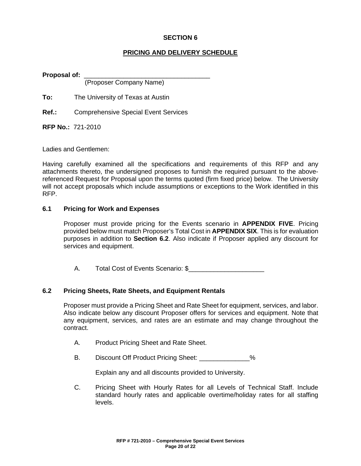### **PRICING AND DELIVERY SCHEDULE**

**Proposal of:** \_\_\_\_\_\_\_\_\_\_\_\_\_\_\_\_\_\_\_\_\_\_\_\_\_\_\_\_\_\_\_\_\_\_\_

(Proposer Company Name)

**To:** The University of Texas at Austin

**Ref.:** Comprehensive Special Event Services

**RFP No.:** 721-2010

Ladies and Gentlemen:

Having carefully examined all the specifications and requirements of this RFP and any attachments thereto, the undersigned proposes to furnish the required pursuant to the abovereferenced Request for Proposal upon the terms quoted (firm fixed price) below. The University will not accept proposals which include assumptions or exceptions to the Work identified in this RFP.

### **6.1 Pricing for Work and Expenses**

Proposer must provide pricing for the Events scenario in **APPENDIX FIVE**. Pricing provided below must match Proposer's Total Cost in **APPENDIX SIX**. This is for evaluation purposes in addition to **Section 6.2**. Also indicate if Proposer applied any discount for services and equipment.

A. Total Cost of Events Scenario: \$

### **6.2 Pricing Sheets, Rate Sheets, and Equipment Rentals**

Proposer must provide a Pricing Sheet and Rate Sheet for equipment, services, and labor. Also indicate below any discount Proposer offers for services and equipment. Note that any equipment, services, and rates are an estimate and may change throughout the contract.

- A. Product Pricing Sheet and Rate Sheet.
- B. Discount Off Product Pricing Sheet: \_\_\_\_\_\_\_\_\_\_\_\_\_\_%

Explain any and all discounts provided to University.

C. Pricing Sheet with Hourly Rates for all Levels of Technical Staff. Include standard hourly rates and applicable overtime/holiday rates for all staffing levels.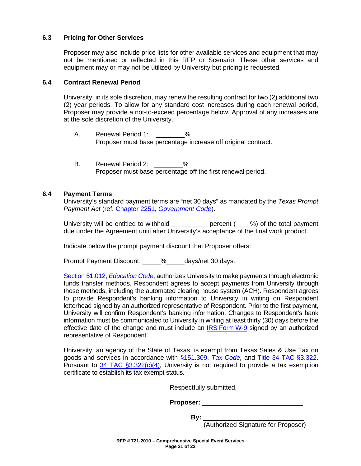### **6.3 Pricing for Other Services**

Proposer may also include price lists for other available services and equipment that may not be mentioned or reflected in this RFP or Scenario. These other services and equipment may or may not be utilized by University but pricing is requested.

### **6.4 Contract Renewal Period**

University, in its sole discretion, may renew the resulting contract for two (2) additional two (2) year periods. To allow for any standard cost increases during each renewal period, Proposer may provide a not-to-exceed percentage below. Approval of any increases are at the sole discretion of the University.

- A. Renewal Period 1: \_\_\_\_\_\_\_\_% Proposer must base percentage increase off original contract.
- B. Renewal Period 2: 2012 Proposer must base percentage off the first renewal period.

### **6.4 Payment Terms**

University's standard payment terms are "net 30 days" as mandated by the *Texas Prompt Payment Act* (ref. Chapter 2251, *[Government Code](http://www.statutes.legis.state.tx.us/Docs/GV/htm/GV.2251.htm)*).

University will be entitled to withhold \_\_\_\_\_\_\_\_\_\_ percent (\_\_\_\_%) of the total payment due under the Agreement until after University's acceptance of the final work product.

Indicate below the prompt payment discount that Proposer offers:

Prompt Payment Discount:  $\frac{1}{2}$  % days/net 30 days.

[Section 51.012,](http://www.statutes.legis.state.tx.us/Docs/ED/htm/ED.51.htm#51.012) *Education Code*, authorizes University to make payments through electronic funds transfer methods. Respondent agrees to accept payments from University through those methods, including the automated clearing house system (ACH). Respondent agrees to provide Respondent's banking information to University in writing on Respondent letterhead signed by an authorized representative of Respondent. Prior to the first payment, University will confirm Respondent's banking information. Changes to Respondent's bank information must be communicated to University in writing at least thirty (30) days before the effective date of the change and must include an IRS [Form](https://www.irs.gov/uac/about-form-w9) W-9 signed by an authorized representative of Respondent.

University, an agency of the State of Texas, is exempt from Texas Sales & Use Tax on goods and services in accordance with [§151.309,](http://www.statutes.legis.state.tx.us/Docs/TX/htm/TX.151.htm#151.309) *Tax Code,* and [Title 34 TAC](http://texreg.sos.state.tx.us/public/readtac$ext.TacPage?sl=R&app=9&p_dir=&p_rloc=&p_tloc=&p_ploc=&pg=1&p_tac=&ti=34&pt=1&ch=3&rl=322) §3.322. Pursuant to  $34$  TAC  $\S 3.322(c)(4)$ , University is not required to provide a tax exemption certificate to establish its tax exempt status.

Respectfully submitted,

| Proposer: |  |
|-----------|--|
|           |  |

**By:** \_\_\_\_\_\_\_\_\_\_\_\_\_\_\_\_\_\_\_\_\_\_\_\_\_\_\_\_

 <sup>(</sup>Authorized Signature for Proposer)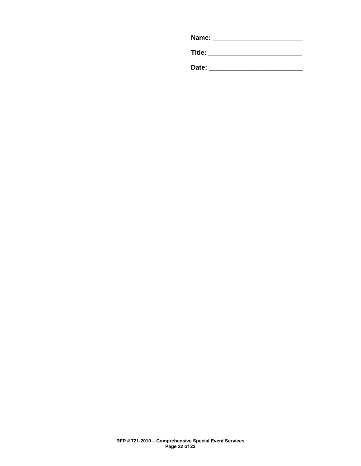| Name: |
|-------|
|       |

**Title:** \_\_\_\_\_\_\_\_\_\_\_\_\_\_\_\_\_\_\_\_\_\_\_\_\_\_

**Date:** \_\_\_\_\_\_\_\_\_\_\_\_\_\_\_\_\_\_\_\_\_\_\_\_\_\_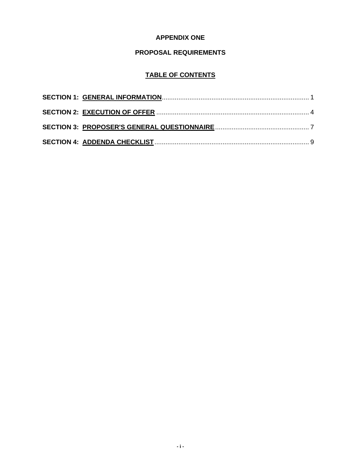# **APPENDIX ONE**

# **PROPOSAL REQUIREMENTS**

# **TABLE OF CONTENTS**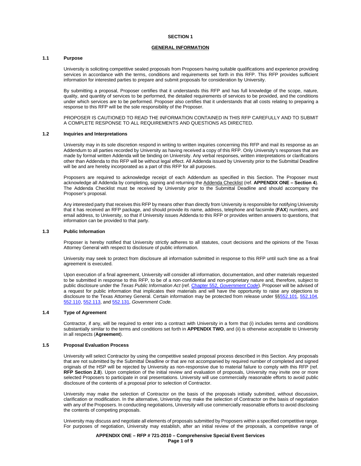### **GENERAL INFORMATION**

### **1.1 Purpose**

University is soliciting competitive sealed proposals from Proposers having suitable qualifications and experience providing services in accordance with the terms, conditions and requirements set forth in this RFP. This RFP provides sufficient information for interested parties to prepare and submit proposals for consideration by University.

By submitting a proposal, Proposer certifies that it understands this RFP and has full knowledge of the scope, nature, quality, and quantity of services to be performed, the detailed requirements of services to be provided, and the conditions under which services are to be performed. Proposer also certifies that it understands that all costs relating to preparing a response to this RFP will be the sole responsibility of the Proposer.

PROPOSER IS CAUTIONED TO READ THE INFORMATION CONTAINED IN THIS RFP CAREFULLY AND TO SUBMIT A COMPLETE RESPONSE TO ALL REQUIREMENTS AND QUESTIONS AS DIRECTED.

#### **1.2 Inquiries and Interpretations**

University may in its sole discretion respond in writing to written inquiries concerning this RFP and mail its response as an Addendum to all parties recorded by University as having received a copy of this RFP. Only University's responses that are made by formal written Addenda will be binding on University. Any verbal responses, written interpretations or clarifications other than Addenda to this RFP will be without legal effect. All Addenda issued by University prior to the Submittal Deadline will be and are hereby incorporated as a part of this RFP for all purposes.

Proposers are required to acknowledge receipt of each Addendum as specified in this Section. The Proposer must acknowledge all Addenda by completing, signing and returning the Addenda Checklist (ref. **APPENDIX ONE – Section 4**). The Addenda Checklist must be received by University prior to the Submittal Deadline and should accompany the Proposer's proposal.

Any interested party that receives this RFP by means other than directly from University is responsible for notifying University that it has received an RFP package, and should provide its name, address, telephone and facsimile (**FAX**) numbers, and email address, to University, so that if University issues Addenda to this RFP or provides written answers to questions, that information can be provided to that party.

#### **1.3 Public Information**

Proposer is hereby notified that University strictly adheres to all statutes, court decisions and the opinions of the Texas Attorney General with respect to disclosure of public information.

University may seek to protect from disclosure all information submitted in response to this RFP until such time as a final agreement is executed.

Upon execution of a final agreement, University will consider all information, documentation, and other materials requested to be submitted in response to this RFP, to be of a non-confidential and non-proprietary nature and, therefore, subject to public disclosure under the *Texas Public Information Act* (ref. Chapter 552, *[Government Code](http://www.statutes.legis.state.tx.us/Docs/GV/htm/GV.552.htm)*). Proposer will be advised of a request for public information that implicates their materials and will have the opportunity to raise any objections to disclosure to the Texas Attorney General. Certain information may be protected from release under §[§552.101,](http://www.statutes.legis.state.tx.us/Docs/GV/htm/GV.552.htm#552.101) [552.104,](http://www.statutes.legis.state.tx.us/Docs/GV/htm/GV.552.htm#552.104) [552.110,](http://www.statutes.legis.state.tx.us/Docs/GV/htm/GV.552.htm#552.110) [552.113,](http://www.statutes.legis.state.tx.us/Docs/GV/htm/GV.552.htm#552.113) an[d 552.131,](http://www.statutes.legis.state.tx.us/Docs/GV/htm/GV.552.htm#552.131) *Government Code*.

#### **1.4 Type of Agreement**

Contractor, if any, will be required to enter into a contract with University in a form that (i) includes terms and conditions substantially similar to the terms and conditions set forth in **APPENDIX TWO**, and (ii) is otherwise acceptable to University in all respects (**Agreement**).

#### **1.5 Proposal Evaluation Process**

University will select Contractor by using the competitive sealed proposal process described in this Section. Any proposals that are not submitted by the Submittal Deadline or that are not accompanied by required number of completed and signed originals of the HSP will be rejected by University as non-responsive due to material failure to comply with this RFP (ref. **RFP Section 2.8**). Upon completion of the initial review and evaluation of proposals, University may invite one or more selected Proposers to participate in oral presentations. University will use commercially reasonable efforts to avoid public disclosure of the contents of a proposal prior to selection of Contractor.

University may make the selection of Contractor on the basis of the proposals initially submitted, without discussion, clarification or modification. In the alternative, University may make the selection of Contractor on the basis of negotiation with any of the Proposers. In conducting negotiations, University will use commercially reasonable efforts to avoid disclosing the contents of competing proposals.

University may discuss and negotiate all elements of proposals submitted by Proposers within a specified competitive range. For purposes of negotiation, University may establish, after an initial review of the proposals, a competitive range of

> **APPENDIX ONE – RFP # 721-2010 – Comprehensive Special Event Services Page 1 of 9**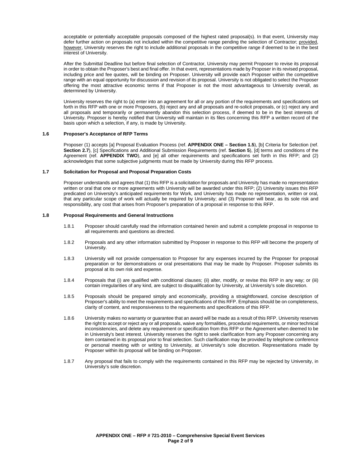acceptable or potentially acceptable proposals composed of the highest rated proposal(s). In that event, University may defer further action on proposals not included within the competitive range pending the selection of Contractor; provided, however, University reserves the right to include additional proposals in the competitive range if deemed to be in the best interest of University.

After the Submittal Deadline but before final selection of Contractor, University may permit Proposer to revise its proposal in order to obtain the Proposer's best and final offer. In that event, representations made by Proposer in its revised proposal, including price and fee quotes, will be binding on Proposer. University will provide each Proposer within the competitive range with an equal opportunity for discussion and revision of its proposal. University is not obligated to select the Proposer offering the most attractive economic terms if that Proposer is not the most advantageous to University overall, as determined by University.

University reserves the right to (a) enter into an agreement for all or any portion of the requirements and specifications set forth in this RFP with one or more Proposers, (b) reject any and all proposals and re-solicit proposals, or (c) reject any and all proposals and temporarily or permanently abandon this selection process, if deemed to be in the best interests of University. Proposer is hereby notified that University will maintain in its files concerning this RFP a written record of the basis upon which a selection, if any, is made by University.

#### **1.6 Proposer's Acceptance of RFP Terms**

Proposer (1) accepts [a] Proposal Evaluation Process (ref. **APPENDIX ONE – Section 1.5**), [b] Criteria for Selection (ref. **Section 2.7**), [c] Specifications and Additional Submission Requirements (ref. **Section 5**), [d] terms and conditions of the Agreement (ref. **APPENDIX TWO**), and [e] all other requirements and specifications set forth in this RFP; and (2) acknowledges that some subjective judgments must be made by University during this RFP process.

### **1.7 Solicitation for Proposal and Proposal Preparation Costs**

Proposer understands and agrees that (1) this RFP is a solicitation for proposals and University has made no representation written or oral that one or more agreements with University will be awarded under this RFP; (2) University issues this RFP predicated on University's anticipated requirements for Work, and University has made no representation, written or oral, that any particular scope of work will actually be required by University; and (3) Proposer will bear, as its sole risk and responsibility, any cost that arises from Proposer's preparation of a proposal in response to this RFP.

### **1.8 Proposal Requirements and General Instructions**

- 1.8.1 Proposer should carefully read the information contained herein and submit a complete proposal in response to all requirements and questions as directed.
- 1.8.2 Proposals and any other information submitted by Proposer in response to this RFP will become the property of University.
- 1.8.3 University will not provide compensation to Proposer for any expenses incurred by the Proposer for proposal preparation or for demonstrations or oral presentations that may be made by Proposer. Proposer submits its proposal at its own risk and expense.
- 1.8.4 Proposals that (i) are qualified with conditional clauses; (ii) alter, modify, or revise this RFP in any way; or (iii) contain irregularities of any kind, are subject to disqualification by University, at University's sole discretion.
- 1.8.5 Proposals should be prepared simply and economically, providing a straightforward, concise description of Proposer's ability to meet the requirements and specifications of this RFP. Emphasis should be on completeness, clarity of content, and responsiveness to the requirements and specifications of this RFP.
- 1.8.6 University makes no warranty or guarantee that an award will be made as a result of this RFP. University reserves the right to accept or reject any or all proposals, waive any formalities, procedural requirements, or minor technical inconsistencies, and delete any requirement or specification from this RFP or the Agreement when deemed to be in University's best interest. University reserves the right to seek clarification from any Proposer concerning any item contained in its proposal prior to final selection. Such clarification may be provided by telephone conference or personal meeting with or writing to University, at University's sole discretion. Representations made by Proposer within its proposal will be binding on Proposer.
- 1.8.7 Any proposal that fails to comply with the requirements contained in this RFP may be rejected by University, in University's sole discretion.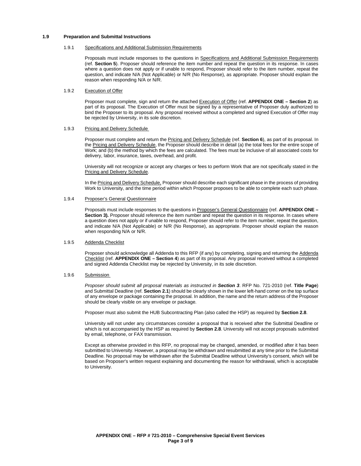#### **1.9 Preparation and Submittal Instructions**

#### 1.9.1 Specifications and Additional Submission Requirements

Proposals must include responses to the questions in Specifications and Additional Submission Requirements (ref. **Section 5**). Proposer should reference the item number and repeat the question in its response. In cases where a question does not apply or if unable to respond, Proposer should refer to the item number, repeat the question, and indicate N/A (Not Applicable) or N/R (No Response), as appropriate. Proposer should explain the reason when responding N/A or N/R.

### 1.9.2 Execution of Offer

Proposer must complete, sign and return the attached Execution of Offer (ref. **APPENDIX ONE – Section 2**) as part of its proposal. The Execution of Offer must be signed by a representative of Proposer duly authorized to bind the Proposer to its proposal. Any proposal received without a completed and signed Execution of Offer may be rejected by University, in its sole discretion.

#### 1.9.3 Pricing and Delivery Schedule

Proposer must complete and return the Pricing and Delivery Schedule (ref. **Section 6**), as part of its proposal. In the Pricing and Delivery Schedule, the Proposer should describe in detail (a) the total fees for the entire scope of Work; and (b) the method by which the fees are calculated. The fees must be inclusive of all associated costs for delivery, labor, insurance, taxes, overhead, and profit.

University will not recognize or accept any charges or fees to perform Work that are not specifically stated in the Pricing and Delivery Schedule.

In the Pricing and Delivery Schedule, Proposer should describe each significant phase in the process of providing Work to University, and the time period within which Proposer proposes to be able to complete each such phase.

#### 1.9.4 Proposer's General Questionnaire

Proposals must include responses to the questions in Proposer's General Questionnaire (ref. **APPENDIX ONE – Section 3).** Proposer should reference the item number and repeat the question in its response. In cases where a question does not apply or if unable to respond, Proposer should refer to the item number, repeat the question, and indicate N/A (Not Applicable) or N/R (No Response), as appropriate. Proposer should explain the reason when responding N/A or N/R.

### 1.9.5 Addenda Checklist

Proposer should acknowledge all Addenda to this RFP (if any) by completing, signing and returning the Addenda Checklist (ref. **APPENDIX ONE – Section 4**) as part of its proposal. Any proposal received without a completed and signed Addenda Checklist may be rejected by University, in its sole discretion.

### 1.9.6 Submission

*Proposer should submit all proposal materials as instructed in Section 3*. RFP No. 721-2010 (ref. **Title Page**) and Submittal Deadline (ref. **Section 2.1**) should be clearly shown in the lower left-hand corner on the top surface of any envelope or package containing the proposal. In addition, the name and the return address of the Proposer should be clearly visible on any envelope or package.

Proposer must also submit the HUB Subcontracting Plan (also called the HSP) as required by **Section 2.8**.

University will not under any circumstances consider a proposal that is received after the Submittal Deadline or which is not accompanied by the HSP as required by **Section 2.8**. University will not accept proposals submitted by email, telephone, or FAX transmission.

Except as otherwise provided in this RFP, no proposal may be changed, amended, or modified after it has been submitted to University. However, a proposal may be withdrawn and resubmitted at any time prior to the Submittal Deadline. No proposal may be withdrawn after the Submittal Deadline without University's consent, which will be based on Proposer's written request explaining and documenting the reason for withdrawal, which is acceptable to University.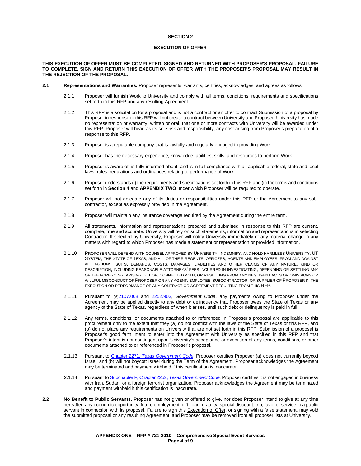### **EXECUTION OF OFFER**

#### **THIS EXECUTION OF OFFER MUST BE COMPLETED, SIGNED AND RETURNED WITH PROPOSER'S PROPOSAL. FAILURE TO COMPLETE, SIGN AND RETURN THIS EXECUTION OF OFFER WITH THE PROPOSER'S PROPOSAL MAY RESULT IN THE REJECTION OF THE PROPOSAL.**

- **2.1 Representations and Warranties.** Proposer represents, warrants, certifies, acknowledges, and agrees as follows:
	- 2.1.1 Proposer will furnish Work to University and comply with all terms, conditions, requirements and specifications set forth in this RFP and any resulting Agreement.
	- 2.1.2 This RFP is a solicitation for a proposal and is not a contract or an offer to contract Submission of a proposal by Proposer in response to this RFP will not create a contract between University and Proposer. University has made no representation or warranty, written or oral, that one or more contracts with University will be awarded under this RFP. Proposer will bear, as its sole risk and responsibility, any cost arising from Proposer's preparation of a response to this RFP.
	- 2.1.3 Proposer is a reputable company that is lawfully and regularly engaged in providing Work.
	- 2.1.4 Proposer has the necessary experience, knowledge, abilities, skills, and resources to perform Work.
	- 2.1.5 Proposer is aware of, is fully informed about, and is in full compliance with all applicable federal, state and local laws, rules, regulations and ordinances relating to performance of Work.
	- 2.1.6 Proposer understands (i) the requirements and specifications set forth in this RFP and (ii) the terms and conditions set forth in **Section 4** and **APPENDIX TWO** under which Proposer will be required to operate.
	- 2.1.7 Proposer will not delegate any of its duties or responsibilities under this RFP or the Agreement to any subcontractor, except as expressly provided in the Agreement.
	- 2.1.8 Proposer will maintain any insurance coverage required by the Agreement during the entire term.
	- 2.1.9 All statements, information and representations prepared and submitted in response to this RFP are current, complete, true and accurate. University will rely on such statements, information and representations in selecting Contractor. If selected by University, Proposer will notify University immediately of any material change in any matters with regard to which Proposer has made a statement or representation or provided information.
	- 2.1.10 PROPOSER WILL DEFEND WITH COUNSEL APPROVED BY UNIVERSITY, INDEMNIFY, AND HOLD HARMLESS UNIVERSITY, UT SYSTEM, THE STATE OF TEXAS, AND ALL OF THEIR REGENTS, OFFICERS, AGENTS AND EMPLOYEES, FROM AND AGAINST ALL ACTIONS, SUITS, DEMANDS, COSTS, DAMAGES, LIABILITIES AND OTHER CLAIMS OF ANY NATURE, KIND OR DESCRIPTION, INCLUDING REASONABLE ATTORNEYS' FEES INCURRED IN INVESTIGATING, DEFENDING OR SETTLING ANY OF THE FOREGOING, ARISING OUT OF, CONNECTED WITH, OR RESULTING FROM ANY NEGLIGENT ACTS OR OMISSIONS OR WILLFUL MISCONDUCT OF PROPOSER OR ANY AGENT, EMPLOYEE, SUBCONTRACTOR, OR SUPPLIER OF PROPOSER IN THE EXECUTION OR PERFORMANCE OF ANY CONTRACT OR AGREEMENT RESULTING FROM THIS RFP.
	- 2.1.11 Pursuant to §[§2107.008](http://www.statutes.legis.state.tx.us/Docs/GV/htm/GV.2107.htm#2107.008) and [2252.903,](http://www.statutes.legis.state.tx.us/Docs/GV/htm/GV.2252.htm#2252.903) *Government Code*, any payments owing to Proposer under the Agreement may be applied directly to any debt or delinquency that Proposer owes the State of Texas or any agency of the State of Texas, regardless of when it arises, until such debt or delinquency is paid in full.
	- 2.1.12 Any terms, conditions, or documents attached to or referenced in Proposer's proposal are applicable to this procurement only to the extent that they (a) do not conflict with the laws of the State of Texas or this RFP, and (b) do not place any requirements on University that are not set forth in this RFP. Submission of a proposal is Proposer's good faith intent to enter into the Agreement with University as specified in this RFP and that Proposer's intent is not contingent upon University's acceptance or execution of any terms, conditions, or other documents attached to or referenced in Proposer's proposal.
	- 2.1.13 Pursuant to Chapter 2271, *[Texas Government Code](https://statutes.capitol.texas.gov/Docs/GV/htm/GV.2271.htm)*, Proposer certifies Proposer (a) does not currently boycott Israel; and (b) will not boycott Israel during the Term of the Agreement. Proposer acknowledges the Agreement may be terminated and payment withheld if this certification is inaccurate.
	- 2.1.14 Pursuant t[o Subchapter F, Chapter 2252,](http://www.statutes.legis.state.tx.us/Docs/GV/htm/GV.2252.htm#F) *Texas Government Code*, Proposer certifies it is not engaged in business with Iran, Sudan, or a foreign terrorist organization. Proposer acknowledges the Agreement may be terminated and payment withheld if this certification is inaccurate.
- **2.2 No Benefit to Public Servants.** Proposer has not given or offered to give, nor does Proposer intend to give at any time hereafter, any economic opportunity, future employment, gift, loan, gratuity, special discount, trip, favor or service to a public servant in connection with its proposal. Failure to sign this Execution of Offer, or signing with a false statement, may void the submitted proposal or any resulting Agreement, and Proposer may be removed from all proposer lists at University.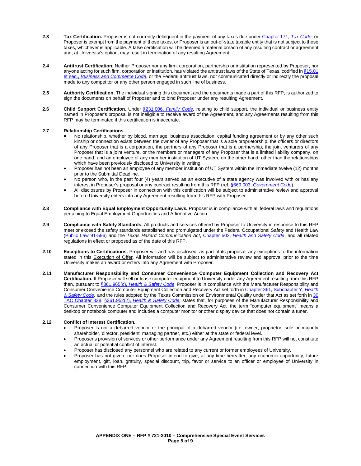- **2.3 Tax Certification.** Proposer is not currently delinquent in the payment of any taxes due under Chapter 171, *[Tax Code](http://www.statutes.legis.state.tx.us/Docs/TX/htm/TX.171.htm)*, or Proposer is exempt from the payment of those taxes, or Proposer is an out-of-state taxable entity that is not subject to those taxes, whichever is applicable. A false certification will be deemed a material breach of any resulting contract or agreement and, at University's option, may result in termination of any resulting Agreement.
- **2.4 Antitrust Certification.** Neither Proposer nor any firm, corporation, partnership or institution represented by Proposer, nor anyone acting for such firm, corporation or institution, has violated the antitrust laws of the State of Texas, codified in §15.01 et seq., *[Business and Commerce Code](http://www.statutes.legis.state.tx.us/Docs/BC/htm/BC.15.htm)*, or the Federal antitrust laws, nor communicated directly or indirectly the proposal made to any competitor or any other person engaged in such line of business.
- **2.5 Authority Certification.** The individual signing this document and the documents made a part of this RFP, is authorized to sign the documents on behalf of Proposer and to bind Proposer under any resulting Agreement.
- **2.6 Child Support Certification.** Under §231.006, *[Family Code,](http://www.statutes.legis.state.tx.us/Docs/FA/htm/FA.231.htm#231.006)* relating to child support, the individual or business entity named in Proposer's proposal is not ineligible to receive award of the Agreement, and any Agreements resulting from this RFP may be terminated if this certification is inaccurate.

### **2.7 Relationship Certifications.**

- No relationship, whether by blood, marriage, business association, capital funding agreement or by any other such kinship or connection exists between the owner of any Proposer that is a sole proprietorship, the officers or directors of any Proposer that is a corporation, the partners of any Proposer that is a partnership, the joint venturers of any Proposer that is a joint venture, or the members or managers of any Proposer that is a limited liability company, on one hand, and an employee of any member institution of UT System, on the other hand, other than the relationships which have been previously disclosed to University in writing.
- Proposer has not been an employee of any member institution of UT System within the immediate twelve (12) months prior to the Submittal Deadline.
- No person who, in the past four (4) years served as an executive of a state agency was involved with or has any interest in Proposer's proposal or any contract resulting from this RFP (ref. §669.003, *[Government Code](http://www.statutes.legis.state.tx.us/Docs/GV/htm/GV.669.htm#669.003)*).
- All disclosures by Proposer in connection with this certification will be subject to administrative review and approval before University enters into any Agreement resulting from this RFP with Proposer.
- **2.8 Compliance with Equal Employment Opportunity Laws.** Proposer is in compliance with all federal laws and regulations pertaining to Equal Employment Opportunities and Affirmative Action.
- **2.9 Compliance with Safety Standards.** All products and services offered by Proposer to University in response to this RFP meet or exceed the safety standards established and promulgated under the Federal Occupational Safety and Health Law [\(Public Law 91-596\)](https://www.osha.gov/pls/oshaweb/owadisp.show_document?p_table=OSHACT&p_id=2743) and the *Texas Hazard Communication Act*, Chapter 502, *[Health and Safety Code](http://www.statutes.legis.state.tx.us/Docs/HS/htm/HS.502.htm)*, and all related regulations in effect or proposed as of the date of this RFP.
- **2.10 Exceptions to Certifications.** Proposer will and has disclosed, as part of its proposal, any exceptions to the information stated in this Execution of Offer. All information will be subject to administrative review and approval prior to the time University makes an award or enters into any Agreement with Proposer.
- **2.11 Manufacturer Responsibility and Consumer Convenience Computer Equipment Collection and Recovery Act Certification.** If Proposer will sell or lease computer equipment to University under any Agreement resulting from this RFP then, pursuant to §361.965(c), *[Health & Safety Code](http://www.statutes.legis.state.tx.us/Docs/HS/htm/HS.361.htm#361.965)*, Proposer is in compliance with the Manufacturer Responsibility and Consumer Convenience Computer Equipment Collection and Recovery Act set forth i[n Chapter 361, Subchapter Y,](http://www.statutes.legis.state.tx.us/Docs/HS/htm/HS.361.htm#Y) *Health [& Safety Code,](http://www.statutes.legis.state.tx.us/Docs/HS/htm/HS.361.htm#Y)* and the rules adopted by the Texas Commission on Environmental Quality under that Act as set forth i[n 30](http://texreg.sos.state.tx.us/public/readtac$ext.ViewTAC?tac_view=5&ti=30&pt=1&ch=328&sch=I&rl=Y)  [TAC Chapter 328.](http://texreg.sos.state.tx.us/public/readtac$ext.ViewTAC?tac_view=5&ti=30&pt=1&ch=328&sch=I&rl=Y) §361.952(2), *[Health & Safety Code,](http://www.statutes.legis.state.tx.us/Docs/HS/htm/HS.361.htm#361.952)* states that, for purposes of the Manufacturer Responsibility and Consumer Convenience Computer Equipment Collection and Recovery Act*,* the term "computer equipment" means a desktop or notebook computer and includes a computer monitor or other display device that does not contain a tuner.

### **2.12 Conflict of Interest Certification.**

- Proposer is not a debarred vendor or the principal of a debarred vendor (i.e. owner, proprietor, sole or majority shareholder, director, president, managing partner, etc.) either at the state or federal level.
- Proposer's provision of services or other performance under any Agreement resulting from this RFP will not constitute an actual or potential conflict of interest.
- Proposer has disclosed any personnel who are related to any current or former employees of University.
- Proposer has not given, nor does Proposer intend to give, at any time hereafter, any economic opportunity, future employment, gift, loan, gratuity, special discount, trip, favor or service to an officer or employee of University in connection with this RFP.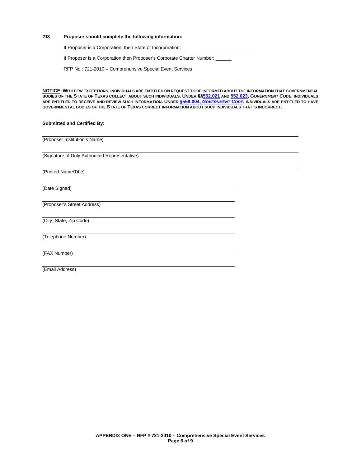### **2.13 Proposer should complete the following information:**

If Proposer is a Corporation, then State of Incorporation:

If Proposer is a Corporation then Proposer's Corporate Charter Number: \_\_\_\_\_\_

RFP No.: 721-2010 – Comprehensive Special Event Services

**NOTICE: WITH FEW EXCEPTIONS, INDIVIDUALS ARE ENTITLED ON REQUEST TO BE INFORMED ABOUT THE INFORMATION THAT GOVERNMENTAL BODIES OF THE STATE OF TEXAS COLLECT ABOUT SUCH INDIVIDUALS. UNDER §[§552.021](http://www.statutes.legis.state.tx.us/Docs/GV/htm/GV.552.htm#552.021) AN[D 552.023,](http://www.statutes.legis.state.tx.us/Docs/GV/htm/GV.552.htm#552.023)** *GOVERNMENT CODE***, INDIVIDUALS ARE ENTITLED TO RECEIVE AND REVIEW SUCH INFORMATION. UNDER §559.004,** *[GOVERNMENT CODE](http://www.statutes.legis.state.tx.us/Docs/GV/htm/GV.559.htm#559.004)***, INDIVIDUALS ARE ENTITLED TO HAVE GOVERNMENTAL BODIES OF THE STATE OF TEXAS CORRECT INFORMATION ABOUT SUCH INDIVIDUALS THAT IS INCORRECT.**

### **Submitted and Certified By:**

(Proposer Institution's Name)

(Signature of Duly Authorized Representative)

(Printed Name/Title)

(Date Signed)

(Proposer's Street Address)

(City, State, Zip Code)

(Telephone Number)

(FAX Number)

(Email Address)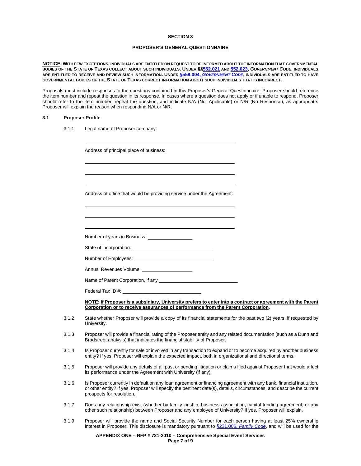### **PROPOSER'S GENERAL QUESTIONNAIRE**

**NOTICE: WITH FEW EXCEPTIONS, INDIVIDUALS ARE ENTITLED ON REQUEST TO BE INFORMED ABOUT THE INFORMATION THAT GOVERNMENTAL BODIES OF THE STATE OF TEXAS COLLECT ABOUT SUCH INDIVIDUALS. UNDER §[§552.021](http://www.statutes.legis.state.tx.us/Docs/GV/htm/GV.552.htm#552.021) AN[D 552.023,](http://www.statutes.legis.state.tx.us/Docs/GV/htm/GV.552.htm#552.023)** *GOVERNMENT CODE***, INDIVIDUALS ARE ENTITLED TO RECEIVE AND REVIEW SUCH INFORMATION. UNDER §559.004,** *[GOVERNMENT CODE](http://www.statutes.legis.state.tx.us/Docs/GV/htm/GV.559.htm#559.004)***, INDIVIDUALS ARE ENTITLED TO HAVE GOVERNMENTAL BODIES OF THE STATE OF TEXAS CORRECT INFORMATION ABOUT SUCH INDIVIDUALS THAT IS INCORRECT.**

Proposals must include responses to the questions contained in this Proposer's General Questionnaire. Proposer should reference the item number and repeat the question in its response. In cases where a question does not apply or if unable to respond, Proposer should refer to the item number, repeat the question, and indicate N/A (Not Applicable) or N/R (No Response), as appropriate. Proposer will explain the reason when responding N/A or N/R.

#### **3.1 Proposer Profile**

3.1.1 Legal name of Proposer company:

|       | Address of principal place of business:                                                                                                                                                                                                                                    |
|-------|----------------------------------------------------------------------------------------------------------------------------------------------------------------------------------------------------------------------------------------------------------------------------|
|       |                                                                                                                                                                                                                                                                            |
|       | Address of office that would be providing service under the Agreement:                                                                                                                                                                                                     |
|       |                                                                                                                                                                                                                                                                            |
|       |                                                                                                                                                                                                                                                                            |
|       |                                                                                                                                                                                                                                                                            |
|       |                                                                                                                                                                                                                                                                            |
|       | Annual Revenues Volume: 1997                                                                                                                                                                                                                                               |
|       |                                                                                                                                                                                                                                                                            |
|       | Federal Tax ID #: University of the Contract of the Contract of the Contract of the Contract of the Contract of the Contract of the Contract of the Contract of the Contract of the Contract of the Contract of the Contract o                                             |
|       | NOTE: If Proposer is a subsidiary, University prefers to enter into a contract or agreement with the Parent<br>Corporation or to receive assurances of performance from the Parent Corporation.                                                                            |
| 3.1.2 | State whether Proposer will provide a copy of its financial statements for the past two (2) years, if requested by<br>University.                                                                                                                                          |
| 3.1.3 | Proposer will provide a financial rating of the Proposer entity and any related documentation (such as a Dunn and<br>Bradstreet analysis) that indicates the financial stability of Proposer.                                                                              |
| 3.1.4 | Is Proposer currently for sale or involved in any transaction to expand or to become acquired by another business<br>entity? If yes, Proposer will explain the expected impact, both in organizational and directional terms.                                              |
| 3.1.5 | Proposer will provide any details of all past or pending litigation or claims filed against Proposer that would affect<br>its performance under the Agreement with University (if any).                                                                                    |
| 3.1.6 | Is Proposer currently in default on any loan agreement or financing agreement with any bank, financial institution,<br>or other entity? If yes, Proposer will specify the pertinent date(s), details, circumstances, and describe the current<br>prospects for resolution. |
| 3.1.7 | Does any relationship exist (whether by family kinship, business association, capital funding agreement, or any<br>other such relationship) between Proposer and any employee of University? If yes, Proposer will explain.                                                |

3.1.9 Proposer will provide the name and Social Security Number for each person having at least 25% ownership interest in Proposer. This disclosure is mandatory pursuant to §231.006, *[Family Code](http://www.statutes.legis.state.tx.us/Docs/FA/htm/FA.231.htm#231.006)*, and will be used for the

> **APPENDIX ONE – RFP # 721-2010 – Comprehensive Special Event Services Page 7 of 9**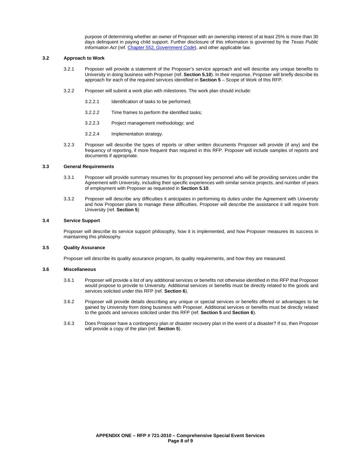purpose of determining whether an owner of Proposer with an ownership interest of at least 25% is more than 30 days delinquent in paying child support. Further disclosure of this information is governed by the *Texas Public Information Act* (ref. Chapter 552, *[Government Code](http://www.statutes.legis.state.tx.us/Docs/GV/htm/GV.552.htm)*), and other applicable law.

### **3.2 Approach to Work**

- 3.2.1 Proposer will provide a statement of the Proposer's service approach and will describe any unique benefits to University in doing business with Proposer (ref. **Section 5.10**). In their response, Proposer will briefly describe its approach for each of the required services identified in **Section 5** – Scope of Work of this RFP.
- 3.2.2 Proposer will submit a work plan with milestones. The work plan should include:
	- 3.2.2.1 Identification of tasks to be performed;
	- 3.2.2.2 Time frames to perform the identified tasks;
	- 3.2.2.3 Project management methodology; and
	- 3.2.2.4 Implementation strategy.
- 3.2.3 Proposer will describe the types of reports or other written documents Proposer will provide (if any) and the frequency of reporting, if more frequent than required in this RFP. Proposer will include samples of reports and documents if appropriate.

#### **3.3 General Requirements**

- 3.3.1 Proposer will provide summary resumes for its proposed key personnel who will be providing services under the Agreement with University, including their specific experiences with similar service projects, and number of years of employment with Proposer as requested in **Section 5.10**.
- 3.3.2 Proposer will describe any difficulties it anticipates in performing its duties under the Agreement with University and how Proposer plans to manage these difficulties. Proposer will describe the assistance it will require from University (ref. **Section 5**)

### **3.4 Service Support**

Proposer will describe its service support philosophy, how it is implemented, and how Proposer measures its success in maintaining this philosophy.

#### **3.5 Quality Assurance**

Proposer will describe its quality assurance program, its quality requirements, and how they are measured.

#### **3.6 Miscellaneous**

- 3.6.1 Proposer will provide a list of any additional services or benefits not otherwise identified in this RFP that Proposer would propose to provide to University. Additional services or benefits must be directly related to the goods and services solicited under this RFP (ref. **Section 6**).
- 3.6.2 Proposer will provide details describing any unique or special services or benefits offered or advantages to be gained by University from doing business with Proposer. Additional services or benefits must be directly related to the goods and services solicited under this RFP (ref. **Section 5** and **Section 6**).
- 3.6.3 Does Proposer have a contingency plan or disaster recovery plan in the event of a disaster? If so, then Proposer will provide a copy of the plan (ref. **Section 5**).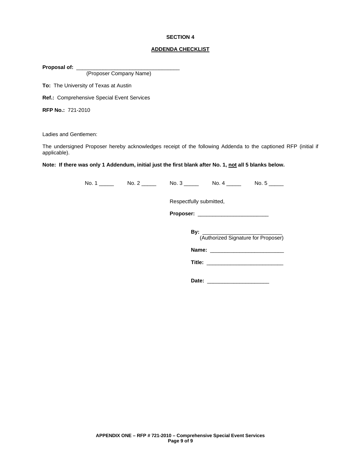### **ADDENDA CHECKLIST**

Proposal of: \_\_\_

(Proposer Company Name)

**To:** The University of Texas at Austin

**Ref.:** Comprehensive Special Event Services

**RFP No.:** 721-2010

Ladies and Gentlemen:

The undersigned Proposer hereby acknowledges receipt of the following Addenda to the captioned RFP (initial if applicable).

**Note: If there was only 1 Addendum, initial just the first blank after No. 1, not all 5 blanks below.**

No. 1 \_\_\_\_\_ No. 2 \_\_\_\_\_ No. 3 \_\_\_\_\_ No. 4 \_\_\_\_\_ No. 5 \_\_\_\_\_

Respectfully submitted,

**Proposer:** \_\_\_\_\_\_\_\_\_\_\_\_\_\_\_\_\_\_\_\_\_\_\_\_

**By:** \_\_\_\_\_\_\_\_\_\_\_\_\_\_\_\_\_\_\_\_\_\_\_\_\_\_\_

(Authorized Signature for Proposer)

**Name:** \_\_\_\_\_\_\_\_\_\_\_\_\_\_\_\_\_\_\_\_\_\_\_\_\_

**Date:** \_\_\_\_\_\_\_\_\_\_\_\_\_\_\_\_\_\_\_\_\_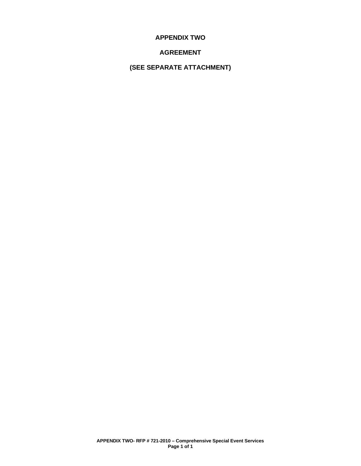**APPENDIX TWO**

# **AGREEMENT**

**(SEE SEPARATE ATTACHMENT)**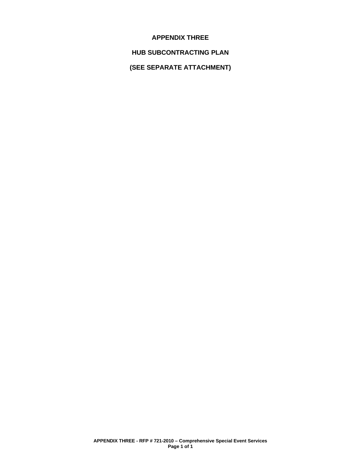### **APPENDIX THREE**

# **HUB SUBCONTRACTING PLAN**

**(SEE SEPARATE ATTACHMENT)**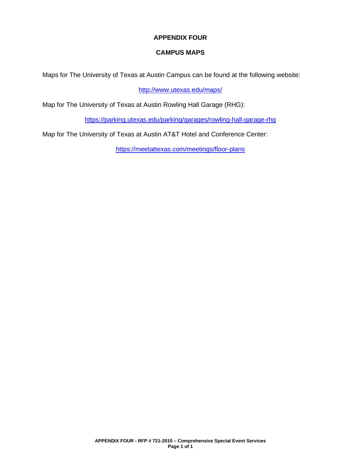# **APPENDIX FOUR**

# **CAMPUS MAPS**

Maps for The University of Texas at Austin Campus can be found at the following website:

<http://www.utexas.edu/maps/>

Map for The University of Texas at Austin Rowling Hall Garage (RHG):

<https://parking.utexas.edu/parking/garages/rowling-hall-garage-rhg>

Map for The University of Texas at Austin AT&T Hotel and Conference Center:

<https://meetattexas.com/meetings/floor-plans>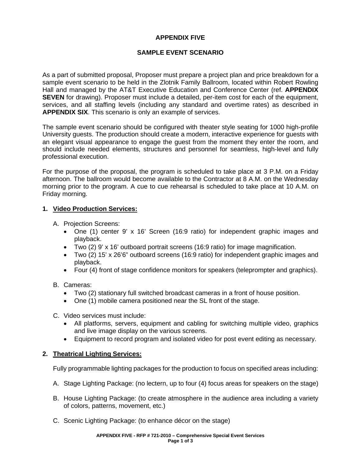# **APPENDIX FIVE**

# **SAMPLE EVENT SCENARIO**

As a part of submitted proposal, Proposer must prepare a project plan and price breakdown for a sample event scenario to be held in the Zlotnik Family Ballroom, located within Robert Rowling Hall and managed by the AT&T Executive Education and Conference Center (ref. **APPENDIX SEVEN** for drawing). Proposer must include a detailed, per-item cost for each of the equipment, services, and all staffing levels (including any standard and overtime rates) as described in **APPENDIX SIX**. This scenario is only an example of services.

The sample event scenario should be configured with theater style seating for 1000 high-profile University guests. The production should create a modern, interactive experience for guests with an elegant visual appearance to engage the guest from the moment they enter the room, and should include needed elements, structures and personnel for seamless, high-level and fully professional execution.

For the purpose of the proposal, the program is scheduled to take place at 3 P.M. on a Friday afternoon. The ballroom would become available to the Contractor at 8 A.M. on the Wednesday morning prior to the program. A cue to cue rehearsal is scheduled to take place at 10 A.M. on Friday morning.

### **1. Video Production Services:**

A. Projection Screens:

- One (1) center 9' x 16' Screen (16:9 ratio) for independent graphic images and playback.
- Two (2) 9' x 16' outboard portrait screens (16:9 ratio) for image magnification.
- Two (2) 15' x 26'6" outboard screens (16:9 ratio) for independent graphic images and playback.
- Four (4) front of stage confidence monitors for speakers (teleprompter and graphics).

### B. Cameras:

- Two (2) stationary full switched broadcast cameras in a front of house position.
- One (1) mobile camera positioned near the SL front of the stage.
- C. Video services must include:
	- All platforms, servers, equipment and cabling for switching multiple video, graphics and live image display on the various screens.
	- Equipment to record program and isolated video for post event editing as necessary.

### **2. Theatrical Lighting Services:**

Fully programmable lighting packages for the production to focus on specified areas including:

- A. Stage Lighting Package: (no lectern, up to four (4) focus areas for speakers on the stage)
- B. House Lighting Package: (to create atmosphere in the audience area including a variety of colors, patterns, movement, etc.)
- C. Scenic Lighting Package: (to enhance décor on the stage)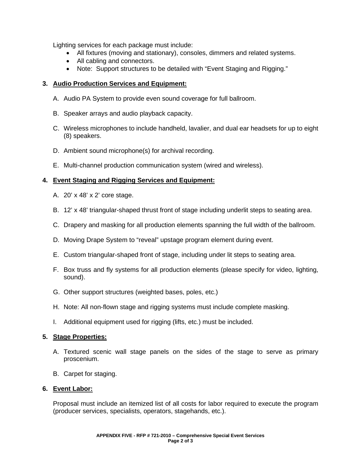Lighting services for each package must include:

- All fixtures (moving and stationary), consoles, dimmers and related systems.
- All cabling and connectors.
- Note: Support structures to be detailed with "Event Staging and Rigging."

# **3. Audio Production Services and Equipment:**

- A. Audio PA System to provide even sound coverage for full ballroom.
- B. Speaker arrays and audio playback capacity.
- C. Wireless microphones to include handheld, lavalier, and dual ear headsets for up to eight (8) speakers.
- D. Ambient sound microphone(s) for archival recording.
- E. Multi-channel production communication system (wired and wireless).

# **4. Event Staging and Rigging Services and Equipment:**

- A. 20' x 48' x 2' core stage.
- B. 12' x 48' triangular-shaped thrust front of stage including underlit steps to seating area.
- C. Drapery and masking for all production elements spanning the full width of the ballroom.
- D. Moving Drape System to "reveal" upstage program element during event.
- E. Custom triangular-shaped front of stage, including under lit steps to seating area.
- F. Box truss and fly systems for all production elements (please specify for video, lighting, sound).
- G. Other support structures (weighted bases, poles, etc.)
- H. Note: All non-flown stage and rigging systems must include complete masking.
- I. Additional equipment used for rigging (lifts, etc.) must be included.

### **5. Stage Properties:**

- A. Textured scenic wall stage panels on the sides of the stage to serve as primary proscenium.
- B. Carpet for staging.

### **6. Event Labor:**

Proposal must include an itemized list of all costs for labor required to execute the program (producer services, specialists, operators, stagehands, etc.).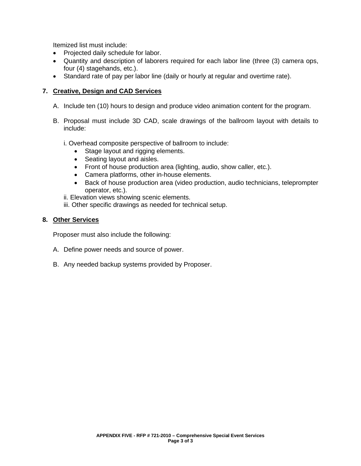Itemized list must include:

- Projected daily schedule for labor.
- Quantity and description of laborers required for each labor line (three (3) camera ops, four (4) stagehands, etc.).
- Standard rate of pay per labor line (daily or hourly at regular and overtime rate).

# **7. Creative, Design and CAD Services**

- A. Include ten (10) hours to design and produce video animation content for the program.
- B. Proposal must include 3D CAD, scale drawings of the ballroom layout with details to include:

i. Overhead composite perspective of ballroom to include:

- Stage layout and rigging elements.
- Seating layout and aisles.
- Front of house production area (lighting, audio, show caller, etc.).
- Camera platforms, other in-house elements.
- Back of house production area (video production, audio technicians, teleprompter operator, etc.).
- ii. Elevation views showing scenic elements.
- iii. Other specific drawings as needed for technical setup.

### **8. Other Services**

Proposer must also include the following:

- A. Define power needs and source of power.
- B. Any needed backup systems provided by Proposer.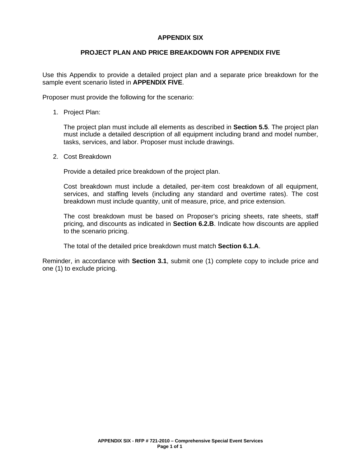### **APPENDIX SIX**

### **PROJECT PLAN AND PRICE BREAKDOWN FOR APPENDIX FIVE**

Use this Appendix to provide a detailed project plan and a separate price breakdown for the sample event scenario listed in **APPENDIX FIVE**.

Proposer must provide the following for the scenario:

1. Project Plan:

The project plan must include all elements as described in **Section 5.5**. The project plan must include a detailed description of all equipment including brand and model number, tasks, services, and labor. Proposer must include drawings.

2. Cost Breakdown

Provide a detailed price breakdown of the project plan.

Cost breakdown must include a detailed, per-item cost breakdown of all equipment, services, and staffing levels (including any standard and overtime rates). The cost breakdown must include quantity, unit of measure, price, and price extension.

The cost breakdown must be based on Proposer's pricing sheets, rate sheets, staff pricing, and discounts as indicated in **Section 6.2.B**. Indicate how discounts are applied to the scenario pricing.

The total of the detailed price breakdown must match **Section 6.1.A**.

Reminder, in accordance with **Section 3.1**, submit one (1) complete copy to include price and one (1) to exclude pricing.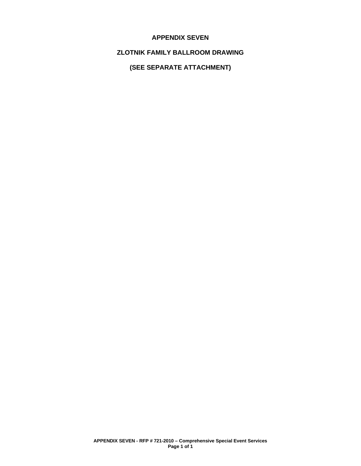### **APPENDIX SEVEN**

# **ZLOTNIK FAMILY BALLROOM DRAWING**

**(SEE SEPARATE ATTACHMENT)**